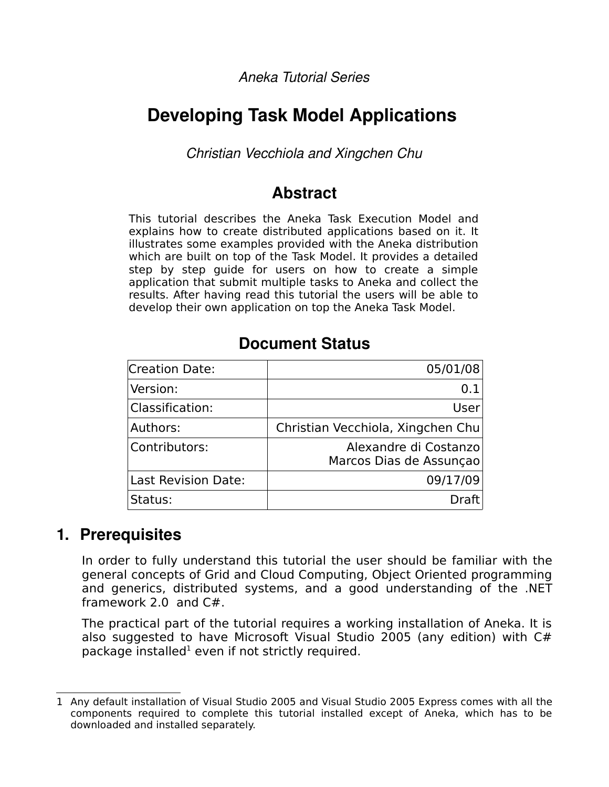*Aneka Tutorial Series*

# **Developing Task Model Applications**

*Christian Vecchiola and Xingchen Chu*

# **Abstract**

This tutorial describes the Aneka Task Execution Model and explains how to create distributed applications based on it. It illustrates some examples provided with the Aneka distribution which are built on top of the Task Model. It provides a detailed step by step guide for users on how to create a simple application that submit multiple tasks to Aneka and collect the results. After having read this tutorial the users will be able to develop their own application on top the Aneka Task Model.

## **Document Status**

| Creation Date:             | 05/01/08                                         |
|----------------------------|--------------------------------------------------|
| Version:                   | 0.1                                              |
| Classification:            | User                                             |
| Authors:                   | Christian Vecchiola, Xingchen Chu                |
| Contributors:              | Alexandre di Costanzo<br>Marcos Dias de Assunçao |
| <b>Last Revision Date:</b> | 09/17/09                                         |
| Status:                    | Draft                                            |

## **1. Prerequisites**

In order to fully understand this tutorial the user should be familiar with the general concepts of Grid and Cloud Computing, Object Oriented programming and generics, distributed systems, and a good understanding of the .NET framework 2.0 and C#.

The practical part of the tutorial requires a working installation of Aneka. It is also suggested to have Microsoft Visual Studio 2005 (any edition) with C# package installed $^1$  $^1$  even if not strictly required.

<span id="page-0-0"></span><sup>1</sup> Any default installation of Visual Studio 2005 and Visual Studio 2005 Express comes with all the components required to complete this tutorial installed except of Aneka, which has to be downloaded and installed separately.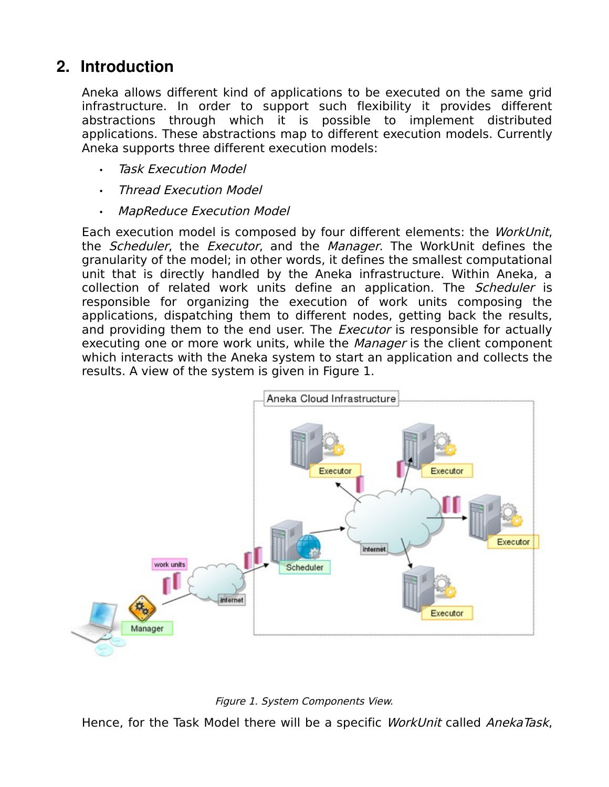# **2. Introduction**

Aneka allows different kind of applications to be executed on the same grid infrastructure. In order to support such flexibility it provides different abstractions through which it is possible to implement distributed applications. These abstractions map to different execution models. Currently Aneka supports three different execution models:

- **Task Execution Model**
- Thread Execution Model
- MapReduce Execution Model

Each execution model is composed by four different elements: the WorkUnit, the *Scheduler*, the *Executor*, and the *Manager*. The WorkUnit defines the granularity of the model; in other words, it defines the smallest computational unit that is directly handled by the Aneka infrastructure. Within Aneka, a collection of related work units define an application. The *Scheduler* is responsible for organizing the execution of work units composing the applications, dispatching them to different nodes, getting back the results, and providing them to the end user. The *Executor* is responsible for actually executing one or more work units, while the *Manager* is the client component which interacts with the Aneka system to start an application and collects the results. A view of the system is given in Figure 1.





Hence, for the Task Model there will be a specific WorkUnit called AnekaTask,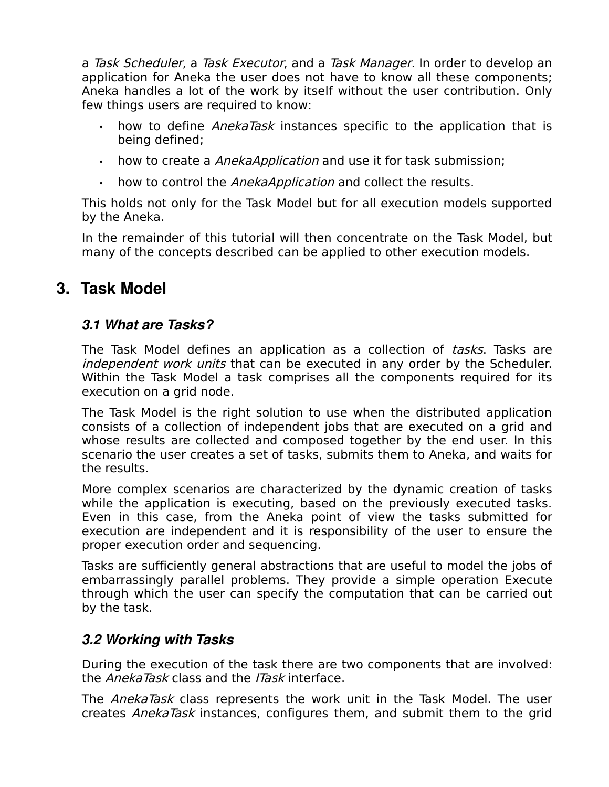a Task Scheduler, a Task Executor, and a Task Manager. In order to develop an application for Aneka the user does not have to know all these components; Aneka handles a lot of the work by itself without the user contribution. Only few things users are required to know:

- how to define *AnekaTask* instances specific to the application that is being defined;
- how to create a AnekaApplication and use it for task submission;
- how to control the AnekaApplication and collect the results.

This holds not only for the Task Model but for all execution models supported by the Aneka.

In the remainder of this tutorial will then concentrate on the Task Model, but many of the concepts described can be applied to other execution models.

# **3. Task Model**

## *3.1 What are Tasks?*

The Task Model defines an application as a collection of tasks. Tasks are independent work units that can be executed in any order by the Scheduler. Within the Task Model a task comprises all the components required for its execution on a grid node.

The Task Model is the right solution to use when the distributed application consists of a collection of independent jobs that are executed on a grid and whose results are collected and composed together by the end user. In this scenario the user creates a set of tasks, submits them to Aneka, and waits for the results.

More complex scenarios are characterized by the dynamic creation of tasks while the application is executing, based on the previously executed tasks. Even in this case, from the Aneka point of view the tasks submitted for execution are independent and it is responsibility of the user to ensure the proper execution order and sequencing.

Tasks are sufficiently general abstractions that are useful to model the jobs of embarrassingly parallel problems. They provide a simple operation Execute through which the user can specify the computation that can be carried out by the task.

#### *3.2 Working with Tasks*

During the execution of the task there are two components that are involved: the AnekaTask class and the ITask interface.

The AnekaTask class represents the work unit in the Task Model. The user creates AnekaTask instances, configures them, and submit them to the grid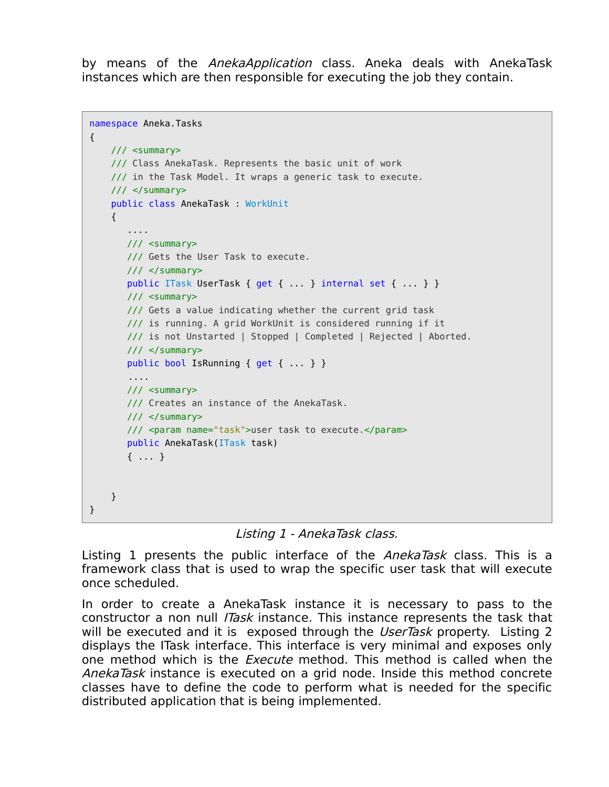by means of the *AnekaApplication* class. Aneka deals with AnekaTask instances which are then responsible for executing the job they contain.

```
namespace Aneka.Tasks 
{
     /// <summary>
     /// Class AnekaTask. Represents the basic unit of work 
     /// in the Task Model. It wraps a generic task to execute.
     /// </summary>
     public class AnekaTask : WorkUnit
     {
        ....
       11/ <summary>
        /// Gets the User Task to execute.
        /// </summary>
       public ITask UserTask { get { ... } internal set { ... } }
        /// <summary>
        /// Gets a value indicating whether the current grid task
        /// is running. A grid WorkUnit is considered running if it
        /// is not Unstarted | Stopped | Completed | Rejected | Aborted.
        /// </summary>
        public bool IsRunning { get { ... } }
        ....
        /// <summary>
        /// Creates an instance of the AnekaTask.
       11/ \leq/summary>
        /// <param name="task">user task to execute.</param>
        public AnekaTask(ITask task)
        { ... }
     }
}
```
Listing 1 - AnekaTask class.

Listing 1 presents the public interface of the AnekaTask class. This is a framework class that is used to wrap the specific user task that will execute once scheduled.

In order to create a AnekaTask instance it is necessary to pass to the constructor a non null *ITask* instance. This instance represents the task that will be executed and it is exposed through the UserTask property. Listing 2 displays the ITask interface. This interface is very minimal and exposes only one method which is the *Execute* method. This method is called when the AnekaTask instance is executed on a grid node. Inside this method concrete classes have to define the code to perform what is needed for the specific distributed application that is being implemented.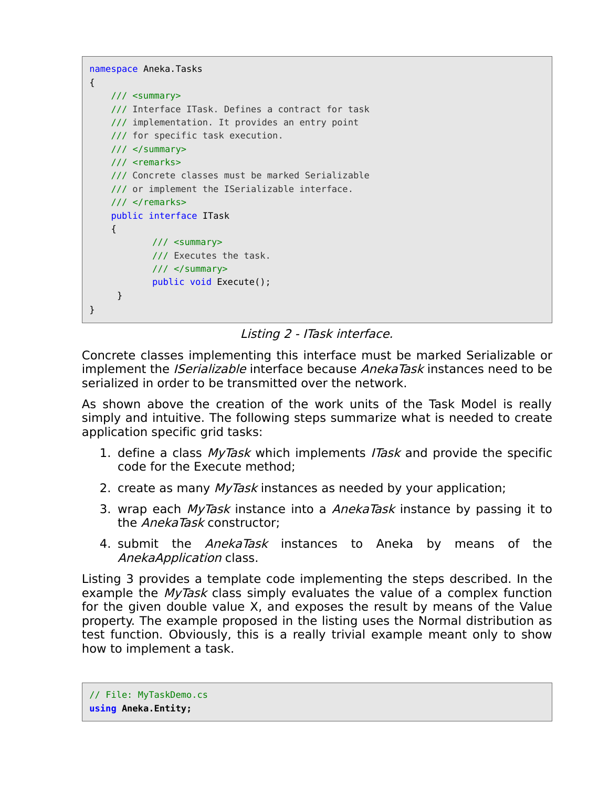```
namespace Aneka.Tasks 
{
     /// <summary>
     /// Interface ITask. Defines a contract for task
     /// implementation. It provides an entry point 
     /// for specific task execution.
     /// </summary>
     /// <remarks>
     /// Concrete classes must be marked Serializable
     /// or implement the ISerializable interface.
    /// </remarks>
     public interface ITask 
     {
             /// <summary>
             /// Executes the task.
            11/ \leq/summary>
            public void Execute();
     }
}
```

```
Listing 2 - ITask interface.
```
Concrete classes implementing this interface must be marked Serializable or implement the *ISerializable* interface because *AnekaTask* instances need to be serialized in order to be transmitted over the network.

As shown above the creation of the work units of the Task Model is really simply and intuitive. The following steps summarize what is needed to create application specific grid tasks:

- 1. define a class *MyTask* which implements ITask and provide the specific code for the Execute method;
- 2. create as many *MyTask* instances as needed by your application;
- 3. wrap each *MyTask* instance into a *AnekaTask* instance by passing it to the *AnekaTask* constructor:
- 4. submit the AnekaTask instances to Aneka by means of the AnekaApplication class.

Listing 3 provides a template code implementing the steps described. In the example the *MyTask* class simply evaluates the value of a complex function for the given double value X, and exposes the result by means of the Value property. The example proposed in the listing uses the Normal distribution as test function. Obviously, this is a really trivial example meant only to show how to implement a task.

// File: MyTaskDemo.cs **using Aneka.Entity;**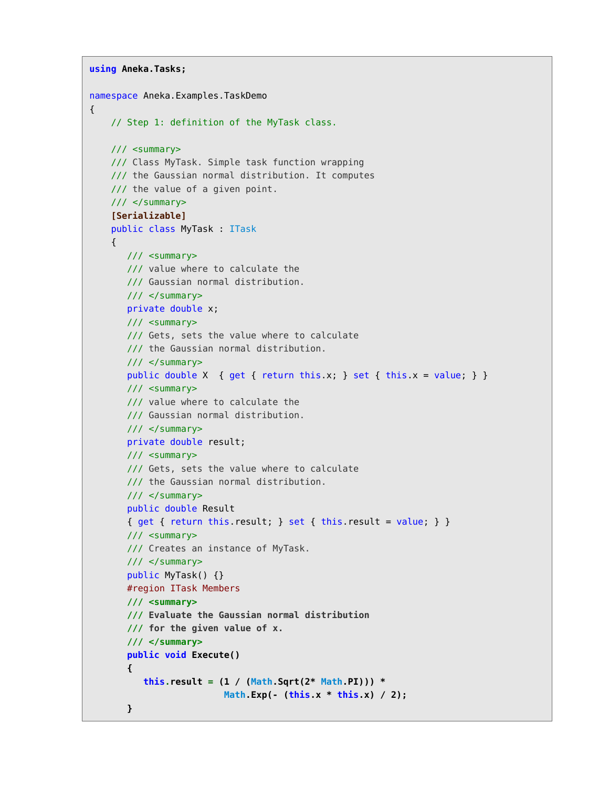```
using Aneka.Tasks;
namespace Aneka.Examples.TaskDemo 
{
    // Step 1: definition of the MyTask class.
    /// <summary>
     /// Class MyTask. Simple task function wrapping
    /// the Gaussian normal distribution. It computes
     /// the value of a given point.
     /// </summary>
     [Serializable]
     public class MyTask : ITask
     {
        /// <summary>
        /// value where to calculate the 
        /// Gaussian normal distribution.
        /// </summary>
        private double x;
        /// <summary>
        /// Gets, sets the value where to calculate
        /// the Gaussian normal distribution.
        /// </summary>
       public double X { get { return this.x; } set { this.x = value; } }
        /// <summary>
        /// value where to calculate the 
        /// Gaussian normal distribution.
        /// </summary>
        private double result;
        /// <summary>
        /// Gets, sets the value where to calculate
        /// the Gaussian normal distribution.
        /// </summary>
        public double Result 
       { get { return this.result; } set { this.result = value; } }
        /// <summary>
        /// Creates an instance of MyTask.
        /// </summary>
        public MyTask() {}
        #region ITask Members
        /// <summary> 
        /// Evaluate the Gaussian normal distribution
        /// for the given value of x.
        /// </summary>
        public void Execute()
        { 
           this.result = (1 / (Math.Sqrt(2* Math.PI))) * 
                           Math.Exp(- (this.x * this.x) / 2);
        }
```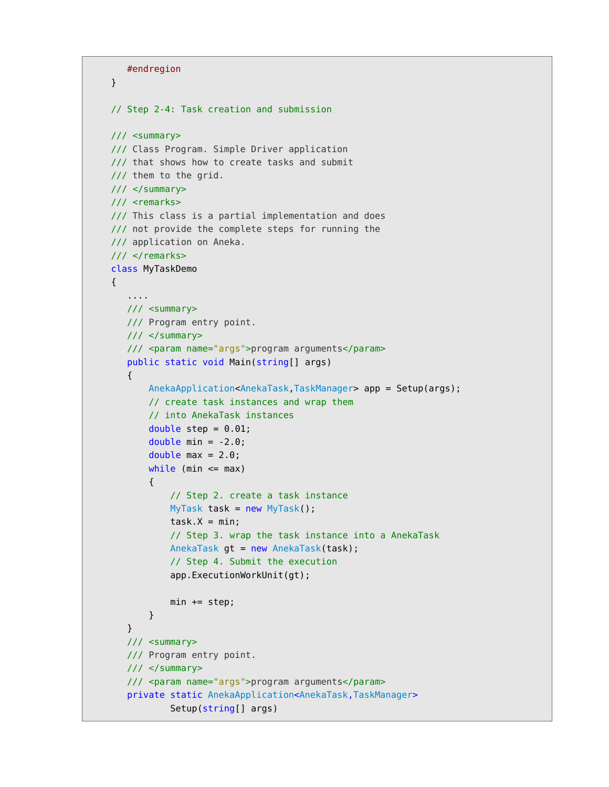```
 #endregion
    }
    // Step 2-4: Task creation and submission
    /// <summary>
    /// Class Program. Simple Driver application
    /// that shows how to create tasks and submit
    /// them to the grid.
    /// </summary>
    /// <remarks>
    /// This class is a partial implementation and does
    /// not provide the complete steps for running the
    /// application on Aneka.
   /// </remarks>
    class MyTaskDemo
    {
        ....
       /// <summary>
       /// Program entry point.
      11/ \leq/summary>
       /// <param name="args">program arguments</param>
       public static void Main(string[] args) 
       {
            AnekaApplication<AnekaTask,TaskManager> app = Setup(args);
            // create task instances and wrap them
            // into AnekaTask instances
           double step = 0.01;
           double min = -2.0;
           double max = 2.0;
           while (min \leq max)
\{ // Step 2. create a task instance
                MyTask task = new MyTask();
               task.X = min; // Step 3. wrap the task instance into a AnekaTask
                AnekaTask gt = new AnekaTask(task);
                // Step 4. Submit the execution
                app.ExecutionWorkUnit(gt);
               min += step; }
       }
       /// <summary>
       /// Program entry point.
       /// </summary>
       /// <param name="args">program arguments</param>
       private static AnekaApplication<AnekaTask,TaskManager>
                Setup(string[] args)
```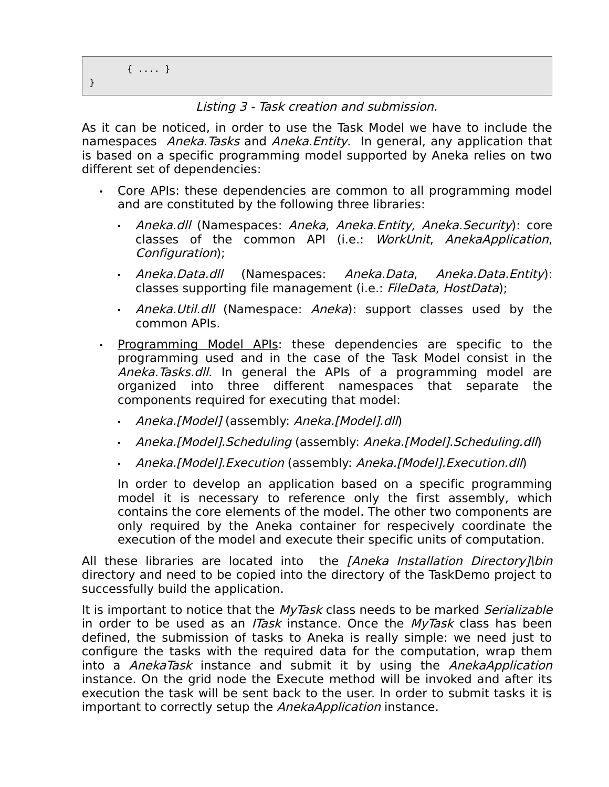#### Listing 3 - Task creation and submission.

As it can be noticed, in order to use the Task Model we have to include the namespaces Aneka. Tasks and Aneka. Entity. In general, any application that is based on a specific programming model supported by Aneka relies on two different set of dependencies:

- Core APIs: these dependencies are common to all programming model and are constituted by the following three libraries:
	- Aneka.dll (Namespaces: Aneka, Aneka.Entity, Aneka.Security): core classes of the common API (i.e.: WorkUnit, AnekaApplication, Configuration);
	- Aneka.Data.dll (Namespaces: Aneka.Data, Aneka.Data.Entity): classes supporting file management (i.e.: FileData, HostData);
	- Aneka.Util.dll (Namespace: Aneka): support classes used by the common APIs.
- Programming Model APIs: these dependencies are specific to the programming used and in the case of the Task Model consist in the Aneka. Tasks. dll. In general the APIs of a programming model are organized into three different namespaces that separate the components required for executing that model:
	- Aneka.[Model] (assembly: Aneka.[Model].dll)
	- Aneka.[Model].Scheduling (assembly: Aneka.[Model].Scheduling.dll)
	- Aneka.[Model].Execution (assembly: Aneka.[Model].Execution.dll)

In order to develop an application based on a specific programming model it is necessary to reference only the first assembly, which contains the core elements of the model. The other two components are only required by the Aneka container for respecively coordinate the execution of the model and execute their specific units of computation.

All these libraries are located into the [Aneka Installation Directory]\bin directory and need to be copied into the directory of the TaskDemo project to successfully build the application.

It is important to notice that the MyTask class needs to be marked Serializable in order to be used as an *ITask* instance. Once the  $MyTask$  class has been defined, the submission of tasks to Aneka is really simple: we need just to configure the tasks with the required data for the computation, wrap them into a AnekaTask instance and submit it by using the AnekaApplication instance. On the grid node the Execute method will be invoked and after its execution the task will be sent back to the user. In order to submit tasks it is important to correctly setup the AnekaApplication instance.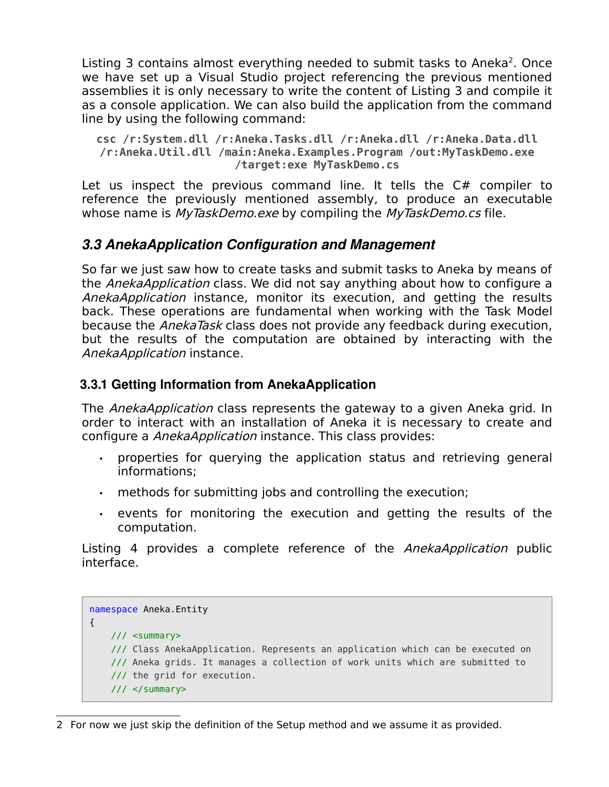Listing 3 contains almost everything needed to submit tasks to Aneka<sup>[2](#page-8-0)</sup>. Once we have set up a Visual Studio project referencing the previous mentioned assemblies it is only necessary to write the content of Listing 3 and compile it as a console application. We can also build the application from the command line by using the following command:

**csc /r:System.dll /r:Aneka.Tasks.dll /r:Aneka.dll /r:Aneka.Data.dll /r:Aneka.Util.dll /main:Aneka.Examples.Program /out:MyTaskDemo.exe /target:exe MyTaskDemo.cs**

Let us inspect the previous command line. It tells the C# compiler to reference the previously mentioned assembly, to produce an executable whose name is *MyTaskDemo.exe* by compiling the *MyTaskDemo.cs* file.

## *3.3 AnekaApplication Configuration and Management*

So far we just saw how to create tasks and submit tasks to Aneka by means of the AnekaApplication class. We did not say anything about how to configure a AnekaApplication instance, monitor its execution, and getting the results back. These operations are fundamental when working with the Task Model because the *AnekaTask* class does not provide any feedback during execution, but the results of the computation are obtained by interacting with the AnekaApplication instance.

#### **3.3.1 Getting Information from AnekaApplication**

The *AnekaApplication* class represents the gateway to a given Aneka grid. In order to interact with an installation of Aneka it is necessary to create and configure a AnekaApplication instance. This class provides:

- properties for querying the application status and retrieving general informations;
- methods for submitting jobs and controlling the execution;
- events for monitoring the execution and getting the results of the computation.

Listing 4 provides a complete reference of the AnekaApplication public interface.

```
namespace Aneka.Entity 
{
    /// <summary>
    /// Class AnekaApplication. Represents an application which can be executed on
    /// Aneka grids. It manages a collection of work units which are submitted to
    /// the grid for execution.
    /// </summary>
```
<span id="page-8-0"></span><sup>2</sup> For now we just skip the definition of the Setup method and we assume it as provided.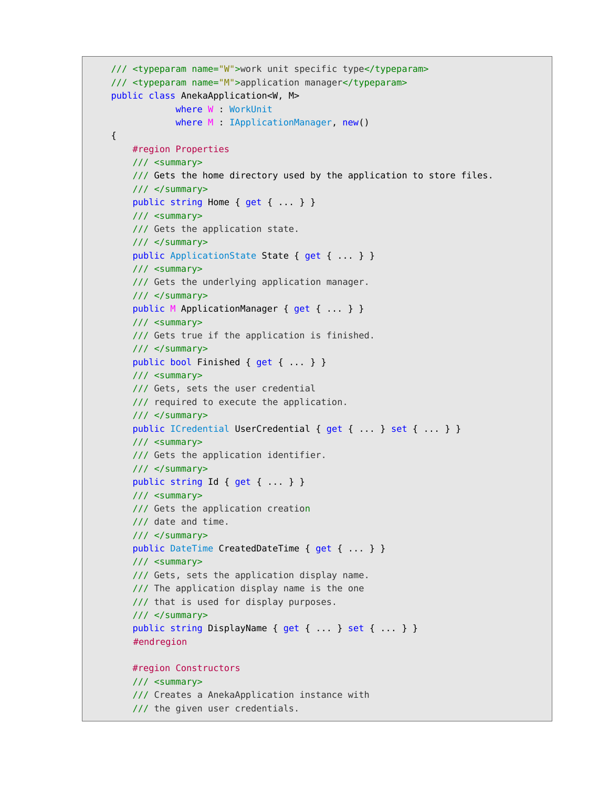```
 /// <typeparam name="W">work unit specific type</typeparam>
 /// <typeparam name="M">application manager</typeparam>
 public class AnekaApplication<W, M>
             where W : WorkUnit
            where M : IApplicationManager, new()
 {
     #region Properties
     /// <summary>
    /// Gets the home directory used by the application to store files.
     /// </summary>
     public string Home { get { ... } }
     /// <summary>
     /// Gets the application state.
     /// </summary>
    public ApplicationState State { get { ... } }
     /// <summary>
     /// Gets the underlying application manager.
     /// </summary>
     public M ApplicationManager { get { ... } }
     /// <summary>
     /// Gets true if the application is finished.
    11/ \leq/summary>
     public bool Finished { get { ... } }
     /// <summary>
     /// Gets, sets the user credential
     /// required to execute the application.
     /// </summary>
    public ICredential UserCredential { get { ... } set { ... } }
     /// <summary>
     /// Gets the application identifier.
    11/ \leq/summary>
     public string Id { get { ... } }
     /// <summary>
     /// Gets the application creation
     /// date and time.
     /// </summary>
     public DateTime CreatedDateTime { get { ... } }
     /// <summary>
     /// Gets, sets the application display name.
     /// The application display name is the one
     /// that is used for display purposes.
     /// </summary>
    public string DisplayName { get { ... } set { ... } }
     #endregion
     #region Constructors
     /// <summary>
     /// Creates a AnekaApplication instance with
     /// the given user credentials.
```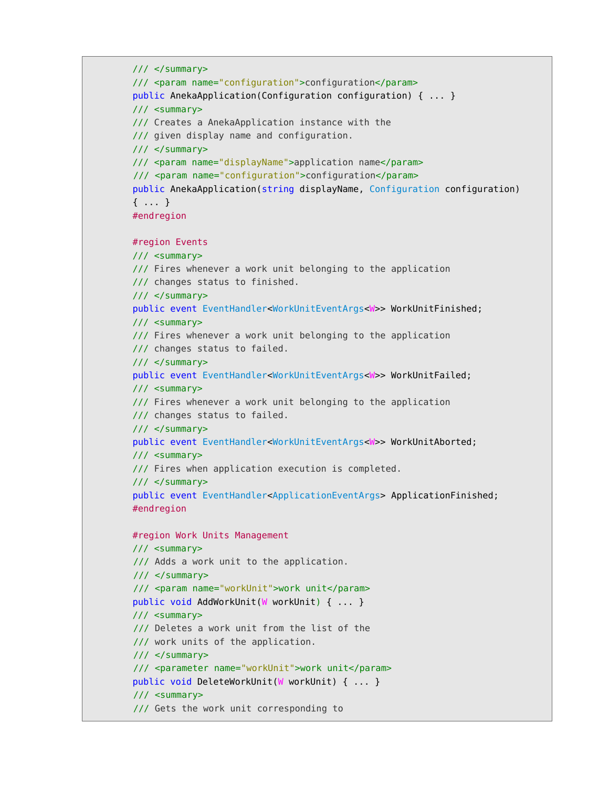```
 /// </summary>
 /// <param name="configuration">configuration</param>
 public AnekaApplication(Configuration configuration) { ... }
 /// <summary>
 /// Creates a AnekaApplication instance with the
 /// given display name and configuration.
 /// </summary>
 /// <param name="displayName">application name</param>
 /// <param name="configuration">configuration</param>
 public AnekaApplication(string displayName, Configuration configuration)
 { ... }
 #endregion
 #region Events
 /// <summary>
 /// Fires whenever a work unit belonging to the application
 /// changes status to finished.
 /// </summary>
 public event EventHandler<WorkUnitEventArgs<W>> WorkUnitFinished;
 /// <summary>
 /// Fires whenever a work unit belonging to the application
 /// changes status to failed.
11/ \leq/summary>
 public event EventHandler<WorkUnitEventArgs<W>> WorkUnitFailed;
 /// <summary>
 /// Fires whenever a work unit belonging to the application
 /// changes status to failed.
11/ \leq/summary>
 public event EventHandler<WorkUnitEventArgs<W>> WorkUnitAborted;
 /// <summary>
 /// Fires when application execution is completed.
11/ \leq/summary>
 public event EventHandler<ApplicationEventArgs> ApplicationFinished;
 #endregion
 #region Work Units Management
 /// <summary>
 /// Adds a work unit to the application.
 /// </summary>
 /// <param name="workUnit">work unit</param>
 public void AddWorkUnit(W workUnit) { ... }
 /// <summary>
 /// Deletes a work unit from the list of the
 /// work units of the application.
 /// </summary>
 /// <parameter name="workUnit">work unit</param>
 public void DeleteWorkUnit(W workUnit) { ... }
 /// <summary>
 /// Gets the work unit corresponding to
```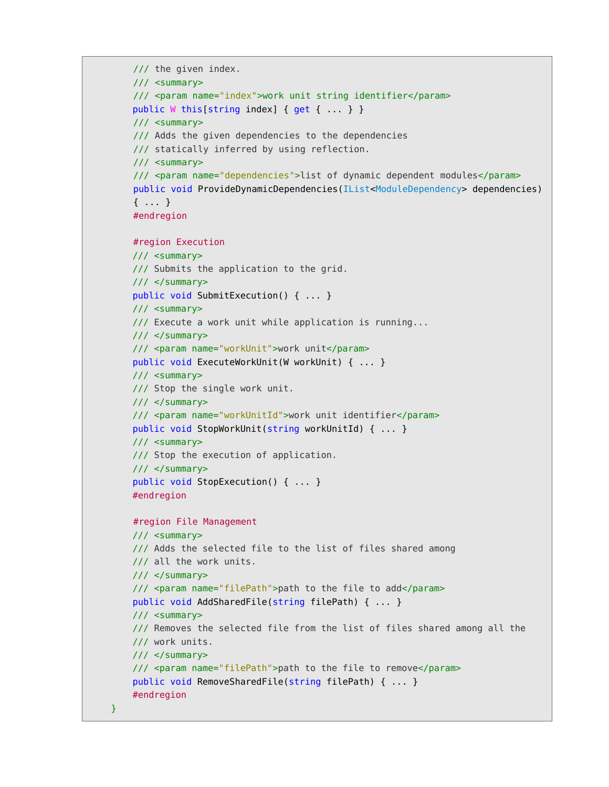```
 /// the given index.
 /// <summary>
 /// <param name="index">work unit string identifier</param>
public W this[string index] { get { ... } }
 /// <summary>
 /// Adds the given dependencies to the dependencies
 /// statically inferred by using reflection.
 /// <summary>
 /// <param name="dependencies">list of dynamic dependent modules</param>
 public void ProvideDynamicDependencies(IList<ModuleDependency> dependencies)
 { ... }
 #endregion
 #region Execution
 /// <summary>
 /// Submits the application to the grid.
11/ \leq/summary>
 public void SubmitExecution() { ... }
 /// <summary>
 /// Execute a work unit while application is running...
11/ \leq/summary>
 /// <param name="workUnit">work unit</param>
 public void ExecuteWorkUnit(W workUnit) { ... }
 /// <summary>
 /// Stop the single work unit.
 /// </summary>
 /// <param name="workUnitId">work unit identifier</param>
 public void StopWorkUnit(string workUnitId) { ... }
 /// <summary>
 /// Stop the execution of application.
11/ \leq/summary>
 public void StopExecution() { ... }
 #endregion
 #region File Management
 /// <summary>
 /// Adds the selected file to the list of files shared among
 /// all the work units.
 /// </summary>
 /// <param name="filePath">path to the file to add</param>
 public void AddSharedFile(string filePath) { ... }
 /// <summary>
 /// Removes the selected file from the list of files shared among all the
 /// work units.
11/ \leq/summary>
 /// <param name="filePath">path to the file to remove</param>
 public void RemoveSharedFile(string filePath) { ... }
 #endregion
```

```
 }
```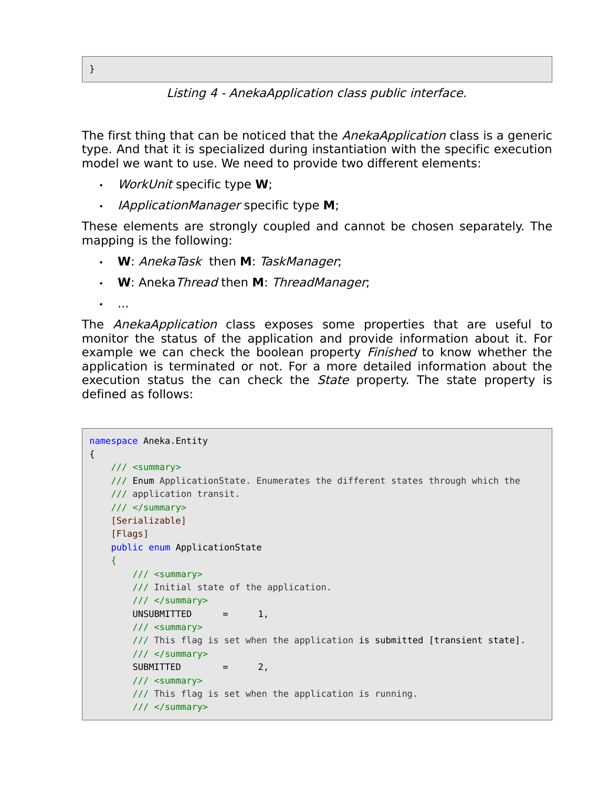Listing 4 - AnekaApplication class public interface.

The first thing that can be noticed that the *AnekaApplication* class is a generic type. And that it is specialized during instantiation with the specific execution model we want to use. We need to provide two different elements:

- WorkUnit specific type **W**;
- IApplicationManager specific type **M**;

These elements are strongly coupled and cannot be chosen separately. The mapping is the following:

- **W**: AnekaTask then **M**: TaskManager;
- **W**: AnekaThread then **M**: ThreadManager;

• ...

The AnekaApplication class exposes some properties that are useful to monitor the status of the application and provide information about it. For example we can check the boolean property *Finished* to know whether the application is terminated or not. For a more detailed information about the execution status the can check the *State* property. The state property is defined as follows:

```
namespace Aneka.Entity 
{
    /// <summary>
    /// Enum ApplicationState. Enumerates the different states through which the
    /// application transit.
    /// </summary>
     [Serializable]
     [Flags]
    public enum ApplicationState 
    {
        /// <summary>
         /// Initial state of the application.
        11/ \leq/summary>
        UNSUBMITTED = 1,
         /// <summary>
         /// This flag is set when the application is submitted [transient state].
         /// </summary>
         SUBMITTED = 2,
         /// <summary>
         /// This flag is set when the application is running.
        11/ \leq/summary>
```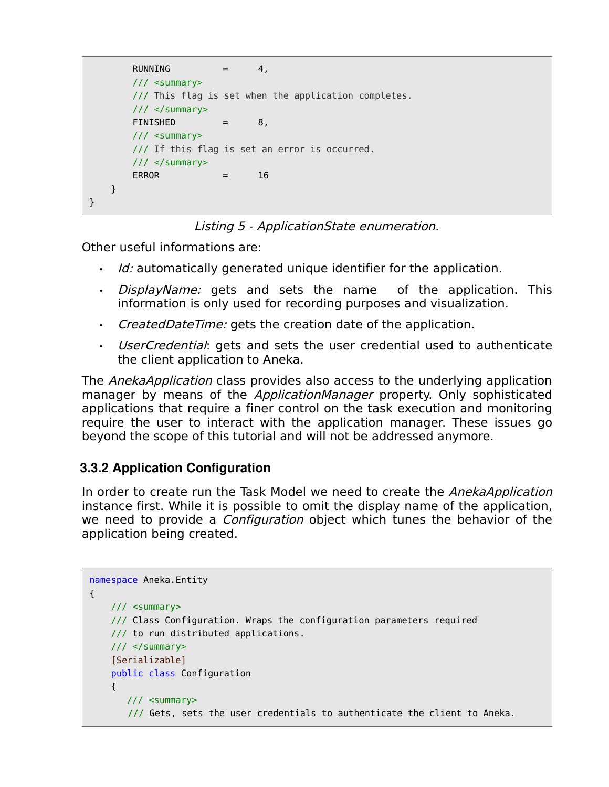```
RUNNING = 4,
        /// <summary>
        /// This flag is set when the application completes.
        /// </summary>
       FINISHED = 8,
        /// <summary>
        /// If this flag is set an error is occurred.
       11/ \leq/summary>
       ERROR = 16
    }
}
```
Listing 5 - ApplicationState enumeration.

Other useful informations are:

- $\cdot$  Id: automatically generated unique identifier for the application.
- DisplayName: gets and sets the name of the application. This information is only used for recording purposes and visualization.
- CreatedDateTime: gets the creation date of the application.
- UserCredential: gets and sets the user credential used to authenticate the client application to Aneka.

The *AnekaApplication* class provides also access to the underlying application manager by means of the *ApplicationManager* property. Only sophisticated applications that require a finer control on the task execution and monitoring require the user to interact with the application manager. These issues go beyond the scope of this tutorial and will not be addressed anymore.

## **3.3.2 Application Configuration**

In order to create run the Task Model we need to create the AnekaApplication instance first. While it is possible to omit the display name of the application, we need to provide a *Configuration* object which tunes the behavior of the application being created.

```
namespace Aneka.Entity 
{
    /// <summary>
     /// Class Configuration. Wraps the configuration parameters required
     /// to run distributed applications.
     /// </summary>
     [Serializable]
     public class Configuration
     {
       /// <summary>
        /// Gets, sets the user credentials to authenticate the client to Aneka.
```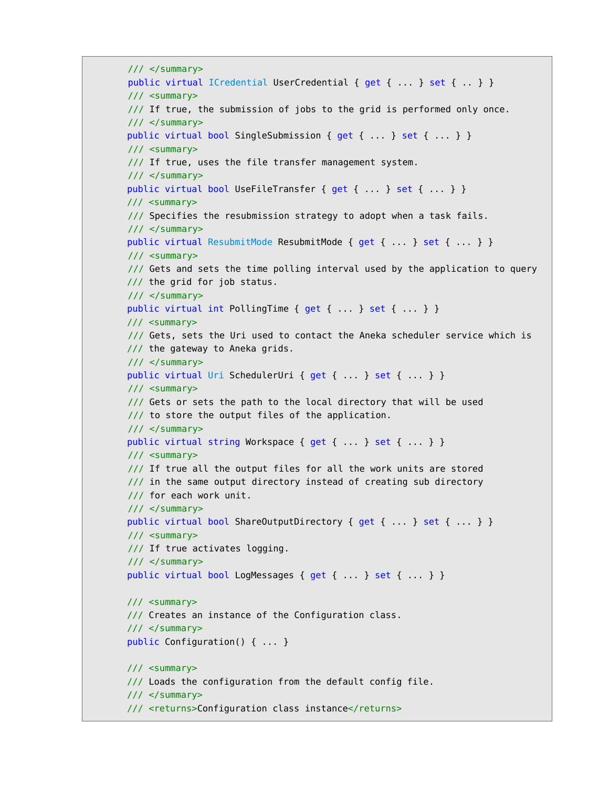```
 /// </summary>
public virtual ICredential UserCredential { get { ... } set { .. } }
 /// <summary>
 /// If true, the submission of jobs to the grid is performed only once.
// / </summary>
public virtual bool SingleSubmission { get { ... } set { ... } }
 /// <summary>
 /// If true, uses the file transfer management system.
 /// </summary>
public virtual bool UseFileTransfer { get { ... } set { ... } }
 /// <summary>
 /// Specifies the resubmission strategy to adopt when a task fails.
 /// </summary>
public virtual ResubmitMode ResubmitMode { get { ... } set { ... } }
 /// <summary>
 /// Gets and sets the time polling interval used by the application to query
 /// the grid for job status.
 /// </summary>
 public virtual int PollingTime { get { ... } set { ... } }
 /// <summary>
 /// Gets, sets the Uri used to contact the Aneka scheduler service which is
 /// the gateway to Aneka grids.
 /// </summary>
public virtual Uri SchedulerUri { get { ... } set { ... } }
 /// <summary>
 /// Gets or sets the path to the local directory that will be used 
 /// to store the output files of the application.
11/ \leq/summary>
public virtual string Workspace { get { ... } } }
// <summary>
 /// If true all the output files for all the work units are stored
\frac{1}{2} in the same output directory instead of creating sub directory
 /// for each work unit.
 /// </summary>
public virtual bool ShareOutputDirectory { get { ... } set { ... } }
 /// <summary>
 /// If true activates logging.
 /// </summary>
public virtual bool LogMessages { get { ... } set { ... } }
 /// <summary>
 /// Creates an instance of the Configuration class.
 /// </summary>
 public Configuration() { ... }
 /// <summary>
 /// Loads the configuration from the default config file. 
 /// </summary>
 /// <returns>Configuration class instance</returns>
```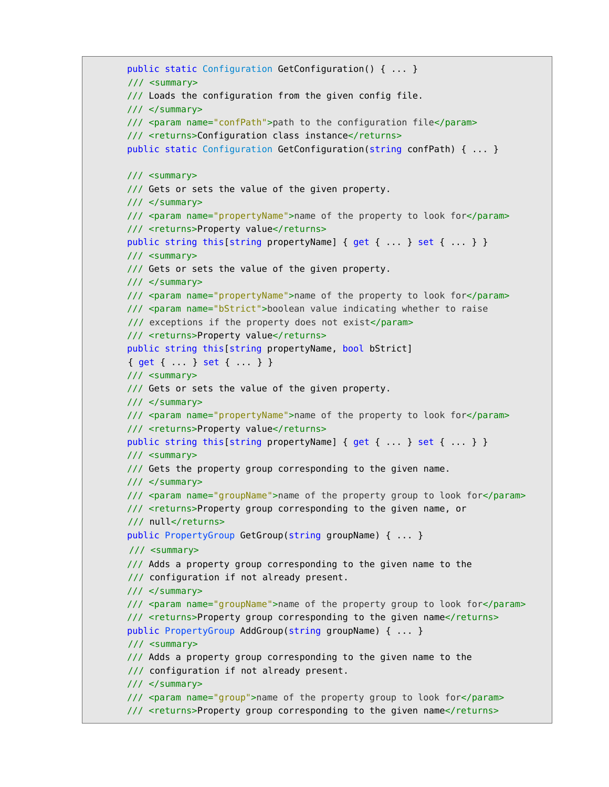```
 public static Configuration GetConfiguration() { ... }
 /// <summary>
 /// Loads the configuration from the given config file. 
 /// </summary>
 /// <param name="confPath">path to the configuration file</param>
 /// <returns>Configuration class instance</returns>
 public static Configuration GetConfiguration(string confPath) { ... }
 /// <summary>
 /// Gets or sets the value of the given property. 
 /// </summary>
 /// <param name="propertyName">name of the property to look for</param>
/// <returns>Property value</returns>
public string this[string propertyName] { get { ... } set { ... } }
 /// <summary>
 /// Gets or sets the value of the given property. 
 /// </summary>
 /// <param name="propertyName">name of the property to look for</param>
 /// <param name="bStrict">boolean value indicating whether to raise
 /// exceptions if the property does not exist</param>
/// <returns>Property value</returns>
 public string this[string propertyName, bool bStrict] 
 { get { ... } set { ... } }
 /// <summary>
 /// Gets or sets the value of the given property. 
 /// </summary>
 /// <param name="propertyName">name of the property to look for</param>
/// <returns>Property value</returns>
public string this[string propertyName] { get { ... } set { ... } }
 /// <summary>
/// Gets the property group corresponding to the given name.
 /// </summary>
 /// <param name="groupName">name of the property group to look for</param>
 /// <returns>Property group corresponding to the given name, or 
 /// null</returns>
 public PropertyGroup GetGroup(string groupName) { ... }
 /// <summary>
 /// Adds a property group corresponding to the given name to the
 /// configuration if not already present. 
 /// </summary>
 /// <param name="groupName">name of the property group to look for</param>
 /// <returns>Property group corresponding to the given name</returns>
 public PropertyGroup AddGroup(string groupName) { ... }
 /// <summary>
 /// Adds a property group corresponding to the given name to the
 /// configuration if not already present. 
 /// </summary>
 /// <param name="group">name of the property group to look for</param>
 /// <returns>Property group corresponding to the given name</returns>
```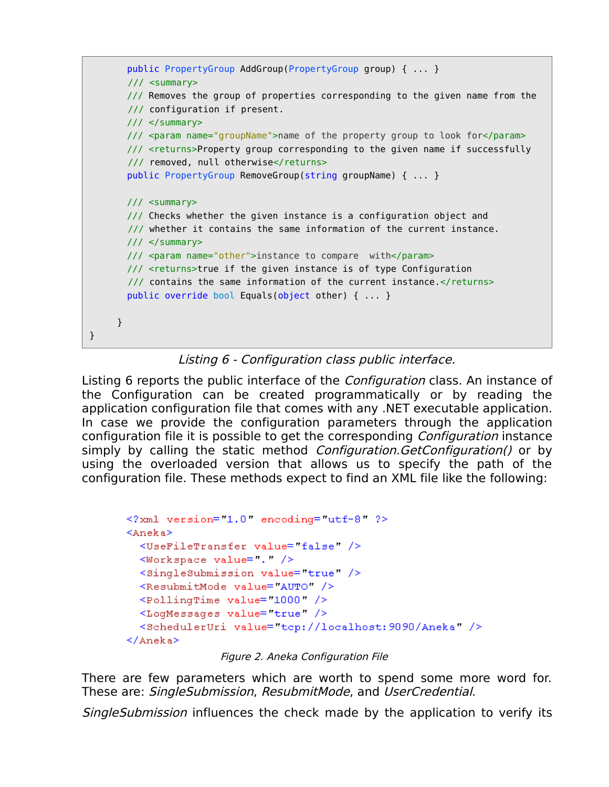```
 public PropertyGroup AddGroup(PropertyGroup group) { ... }
        /// <summary>
        /// Removes the group of properties corresponding to the given name from the
        /// configuration if present.
        /// </summary>
        /// <param name="groupName">name of the property group to look for</param>
        /// <returns>Property group corresponding to the given name if successfully
        /// removed, null otherwise</returns>
        public PropertyGroup RemoveGroup(string groupName) { ... }
        /// <summary>
        /// Checks whether the given instance is a configuration object and
        /// whether it contains the same information of the current instance. 
        /// </summary>
        /// <param name="other">instance to compare with</param>
        /// <returns>true if the given instance is of type Configuration
       /// contains the same information of the current instance.</returns>
        public override bool Equals(object other) { ... }
     }
}
```
Listing 6 - Configuration class public interface.

Listing 6 reports the public interface of the *Configuration* class. An instance of the Configuration can be created programmatically or by reading the application configuration file that comes with any .NET executable application. In case we provide the configuration parameters through the application configuration file it is possible to get the corresponding Configuration instance simply by calling the static method *Configuration.GetConfiguration()* or by using the overloaded version that allows us to specify the path of the configuration file. These methods expect to find an XML file like the following:

```
<?xml version="1.0" encoding="utf-8" ?>
<Aneka>
  <UseFileTransfer value= false />
  <Workspace value="." />
  <SingleSubmission value="true" />
  <ResubmitMode value="AUTO" />
  <PollingTime value="1000" />
  <LoqMessaqes value="true" />
  <SchedulerUri value="tcp://localhost:9090/Aneka" />
\langle/Aneka>
```

```
Figure 2. Aneka Configuration File
```
There are few parameters which are worth to spend some more word for. These are: SingleSubmission, ResubmitMode, and UserCredential.

SingleSubmission influences the check made by the application to verify its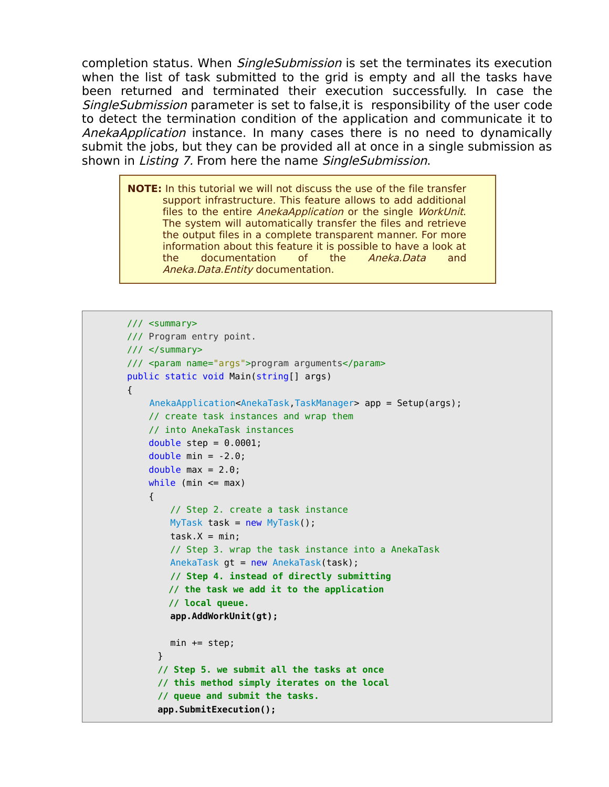completion status. When *SingleSubmission* is set the terminates its execution when the list of task submitted to the grid is empty and all the tasks have been returned and terminated their execution successfully. In case the SingleSubmission parameter is set to false,it is responsibility of the user code to detect the termination condition of the application and communicate it to AnekaApplication instance. In many cases there is no need to dynamically submit the jobs, but they can be provided all at once in a single submission as shown in Listing 7. From here the name SingleSubmission.

**NOTE:** In this tutorial we will not discuss the use of the file transfer support infrastructure. This feature allows to add additional files to the entire *AnekaApplication* or the single *WorkUnit.* The system will automatically transfer the files and retrieve the output files in a complete transparent manner. For more information about this feature it is possible to have a look at the documentation of the Aneka.Data and Aneka.Data.Entity documentation.

```
 /// <summary>
       /// Program entry point.
       /// </summary>
       /// <param name="args">program arguments</param>
       public static void Main(string[] args) 
       {
            AnekaApplication<AnekaTask,TaskManager> app = Setup(args);
           // create task instances and wrap them
           // into AnekaTask instances
          double step = 0.0001;
          double min = -2.0;
          double max = 2.0;
          while (min \leq max)\{ // Step 2. create a task instance
              MyTask task = new MyTask();
               task.X = min; // Step 3. wrap the task instance into a AnekaTask
               AnekaTask gt = new AnekaTask(task);
                // Step 4. instead of directly submitting
               // the task we add it to the application 
               // local queue.
                app.AddWorkUnit(gt);
              min += step; }
            // Step 5. we submit all the tasks at once
             // this method simply iterates on the local
             // queue and submit the tasks.
            app.SubmitExecution();
```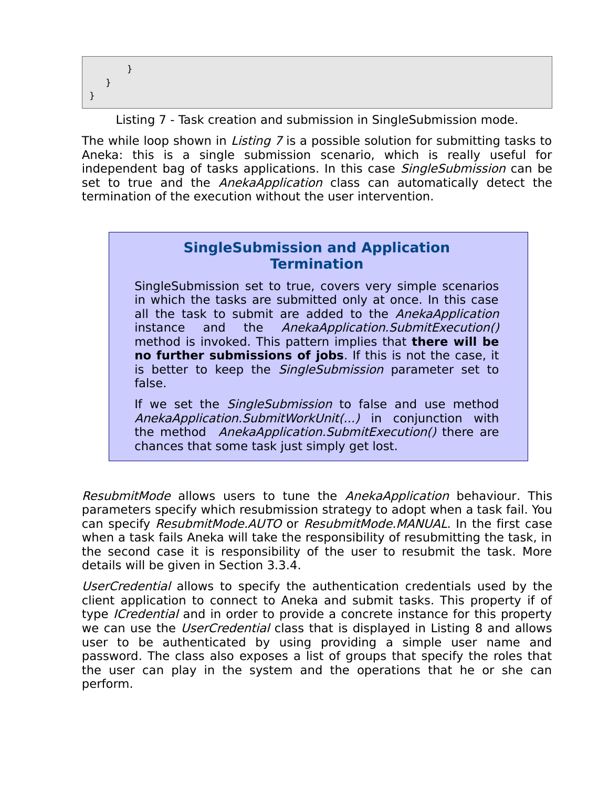} } }

Listing 7 - Task creation and submission in SingleSubmission mode.

The while loop shown in *Listing* 7 is a possible solution for submitting tasks to Aneka: this is a single submission scenario, which is really useful for independent bag of tasks applications. In this case SingleSubmission can be set to true and the *AnekaApplication* class can automatically detect the termination of the execution without the user intervention.

## **SingleSubmission and Application Termination**

SingleSubmission set to true, covers very simple scenarios in which the tasks are submitted only at once. In this case all the task to submit are added to the AnekaApplication instance and the AnekaApplication.SubmitExecution() method is invoked. This pattern implies that **there will be no further submissions of jobs**. If this is not the case, it is better to keep the *SingleSubmission* parameter set to false.

If we set the *SingleSubmission* to false and use method AnekaApplication.SubmitWorkUnit(...) in conjunction with the method AnekaApplication.SubmitExecution() there are chances that some task just simply get lost.

ResubmitMode allows users to tune the AnekaApplication behaviour. This parameters specify which resubmission strategy to adopt when a task fail. You can specify ResubmitMode.AUTO or ResubmitMode.MANUAL. In the first case when a task fails Aneka will take the responsibility of resubmitting the task, in the second case it is responsibility of the user to resubmit the task. More details will be given in Section 3.3.4.

UserCredential allows to specify the authentication credentials used by the client application to connect to Aneka and submit tasks. This property if of type *ICredential* and in order to provide a concrete instance for this property we can use the *UserCredential* class that is displayed in Listing 8 and allows user to be authenticated by using providing a simple user name and password. The class also exposes a list of groups that specify the roles that the user can play in the system and the operations that he or she can perform.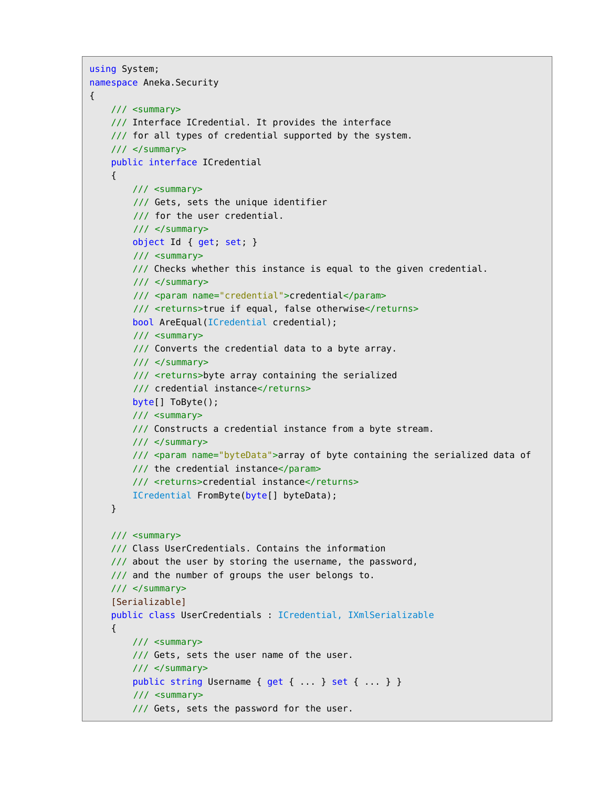```
using System;
namespace Aneka.Security
{
     /// <summary>
    /// Interface ICredential. It provides the interface 
     /// for all types of credential supported by the system.
     /// </summary>
     public interface ICredential
     {
         /// <summary>
         /// Gets, sets the unique identifier
         /// for the user credential.
         /// </summary>
         object Id { get; set; }
         /// <summary>
         /// Checks whether this instance is equal to the given credential.
        // / </summary>
         /// <param name="credential">credential</param>
        /// <returns>true if equal, false otherwise</returns>
         bool AreEqual(ICredential credential);
         /// <summary>
         /// Converts the credential data to a byte array.
         /// </summary>
         /// <returns>byte array containing the serialized
        /// credential instance</returns>
         byte[] ToByte();
         /// <summary>
         /// Constructs a credential instance from a byte stream.
         /// </summary>
         /// <param name="byteData">array of byte containing the serialized data of
         /// the credential instance</param>
         /// <returns>credential instance</returns>
         ICredential FromByte(byte[] byteData);
     }
     /// <summary>
     /// Class UserCredentials. Contains the information
     /// about the user by storing the username, the password,
     /// and the number of groups the user belongs to.
     /// </summary>
     [Serializable]
     public class UserCredentials : ICredential, IXmlSerializable
     {
         /// <summary>
         /// Gets, sets the user name of the user.
        11/ \leq/summary>
        public string Username { get { ... } set { ... } }
         /// <summary>
         /// Gets, sets the password for the user.
```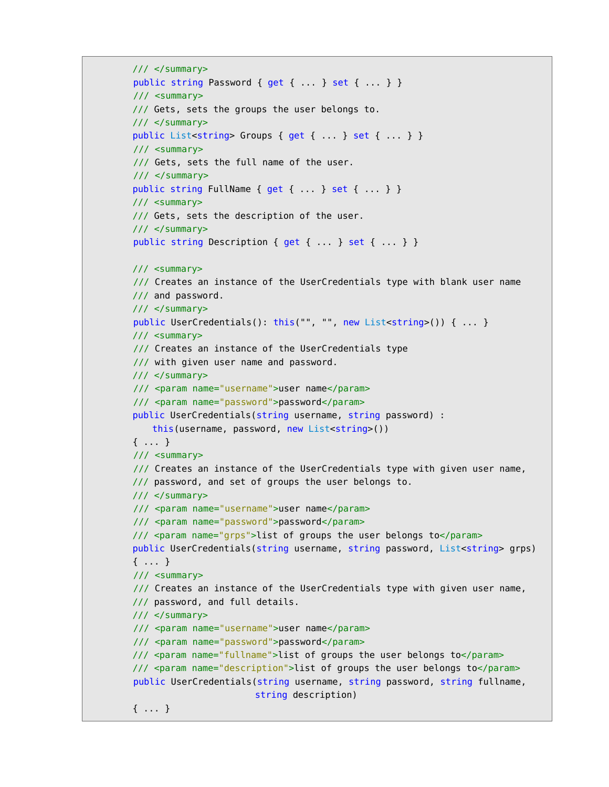```
 /// </summary>
public string Password { get { ... } set { ... } }
 /// <summary>
 /// Gets, sets the groups the user belongs to.
 /// </summary>
public List<string> Groups { get { ... } set { ... } }
 /// <summary>
 /// Gets, sets the full name of the user.
 /// </summary>
public string FullName { get { ... } set { ... } }
 /// <summary>
 /// Gets, sets the description of the user.
 /// </summary>
 public string Description { get { ... } set { ... } }
 /// <summary>
 /// Creates an instance of the UserCredentials type with blank user name
 /// and password.
// / </summary>
public UserCredentials(): this("", "", new List<string>()) { ... }
 /// <summary>
 /// Creates an instance of the UserCredentials type
 /// with given user name and password. 
 /// </summary>
 /// <param name="username">user name</param>
 /// <param name="password">password</param>
 public UserCredentials(string username, string password) :
   this(username, password, new List<string>())
 { ... }
 /// <summary>
 /// Creates an instance of the UserCredentials type with given user name,
 /// password, and set of groups the user belongs to.
11/ \leq/summary>
 /// <param name="username">user name</param>
 /// <param name="password">password</param>
 /// <param name="grps">list of groups the user belongs to</param>
 public UserCredentials(string username, string password, List<string> grps)
 { ... }
 /// <summary>
 /// Creates an instance of the UserCredentials type with given user name,
 /// password, and full details.
 /// </summary>
 /// <param name="username">user name</param>
 /// <param name="password">password</param>
 /// <param name="fullname">list of groups the user belongs to</param>
 /// <param name="description">list of groups the user belongs to</param>
 public UserCredentials(string username, string password, string fullname,
                        string description)
 { ... }
```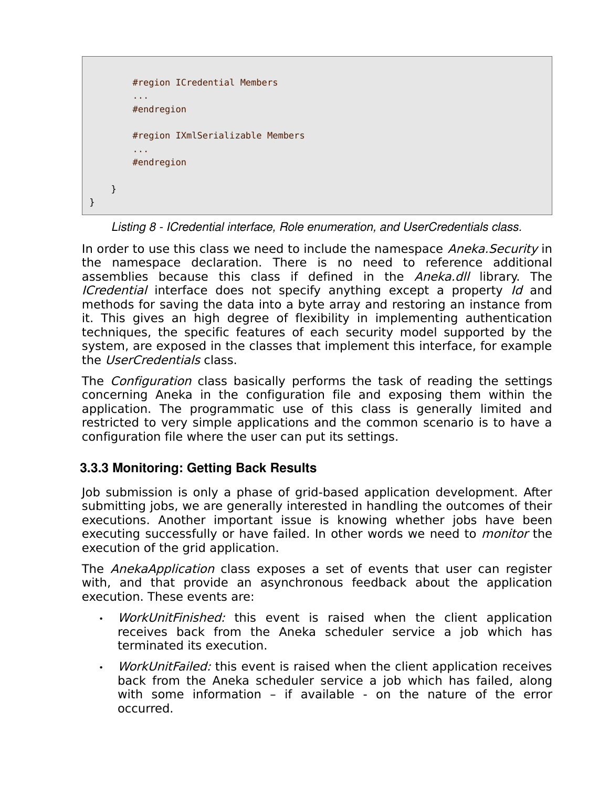```
 #region ICredential Members 
          ...
          #endregion
          #region IXmlSerializable Members 
          ...
          #endregion
     }
}
```
*Listing 8 ICredential interface, Role enumeration, and UserCredentials class.*

In order to use this class we need to include the namespace Aneka. Security in the namespace declaration. There is no need to reference additional assemblies because this class if defined in the Aneka.dll library. The ICredential interface does not specify anything except a property Id and methods for saving the data into a byte array and restoring an instance from it. This gives an high degree of flexibility in implementing authentication techniques, the specific features of each security model supported by the system, are exposed in the classes that implement this interface, for example the UserCredentials class.

The *Configuration* class basically performs the task of reading the settings concerning Aneka in the configuration file and exposing them within the application. The programmatic use of this class is generally limited and restricted to very simple applications and the common scenario is to have a configuration file where the user can put its settings.

#### **3.3.3 Monitoring: Getting Back Results**

Job submission is only a phase of grid-based application development. After submitting jobs, we are generally interested in handling the outcomes of their executions. Another important issue is knowing whether jobs have been executing successfully or have failed. In other words we need to monitor the execution of the grid application.

The *AnekaApplication* class exposes a set of events that user can register with, and that provide an asynchronous feedback about the application execution. These events are:

- WorkUnitFinished: this event is raised when the client application receives back from the Aneka scheduler service a job which has terminated its execution.
- WorkUnitFailed: this event is raised when the client application receives back from the Aneka scheduler service a job which has failed, along with some information – if available - on the nature of the error occurred.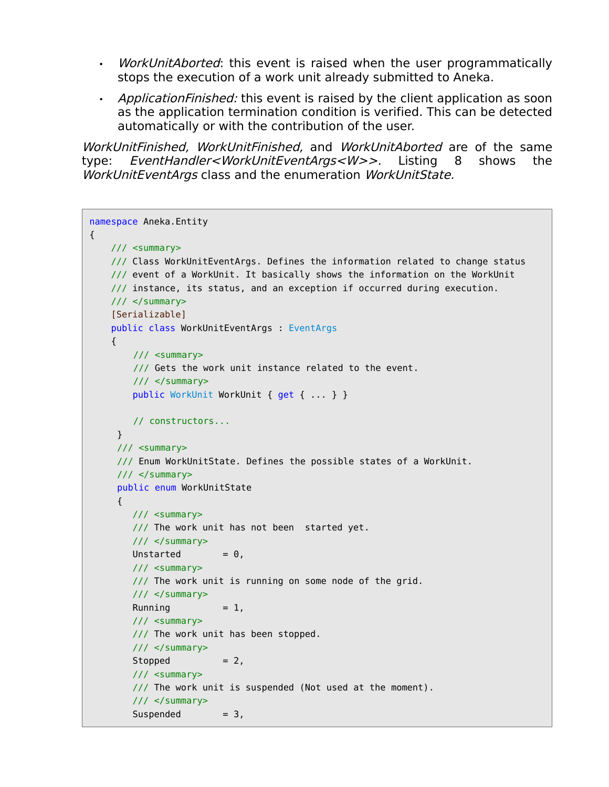- *WorkUnitAborted*: this event is raised when the user programmatically stops the execution of a work unit already submitted to Aneka.
- Application Finished: this event is raised by the client application as soon as the application termination condition is verified. This can be detected automatically or with the contribution of the user.

WorkUnitFinished, WorkUnitFinished, and WorkUnitAborted are of the same type: EventHandler<WorkUnitEventArgs<W>>. Listing 8 shows the WorkUnitEventArgs class and the enumeration WorkUnitState.

```
namespace Aneka.Entity 
{
    /// <summary>
    /// Class WorkUnitEventArgs. Defines the information related to change status
    /// event of a WorkUnit. It basically shows the information on the WorkUnit 
    /// instance, its status, and an exception if occurred during execution.
    /// </summary>
     [Serializable]
    public class WorkUnitEventArgs : EventArgs
    {
         /// <summary>
         /// Gets the work unit instance related to the event.
         /// </summary>
         public WorkUnit WorkUnit { get { ... } }
         // constructors...
     }
     /// <summary>
     /// Enum WorkUnitState. Defines the possible states of a WorkUnit.
     // </summary>
     public enum WorkUnitState
     {
        /// <summary>
       /// The work unit has not been started yet.
         /// </summary>
       Unstarted = 0,
        /// <summary>
         /// The work unit is running on some node of the grid.
        /// </summary>
       Running = 1,
         /// <summary>
         /// The work unit has been stopped.
        11/ \leq/summary>
        Stopped = 2,
         /// <summary>
         /// The work unit is suspended (Not used at the moment).
        // </summary>
        Suspended = 3,
```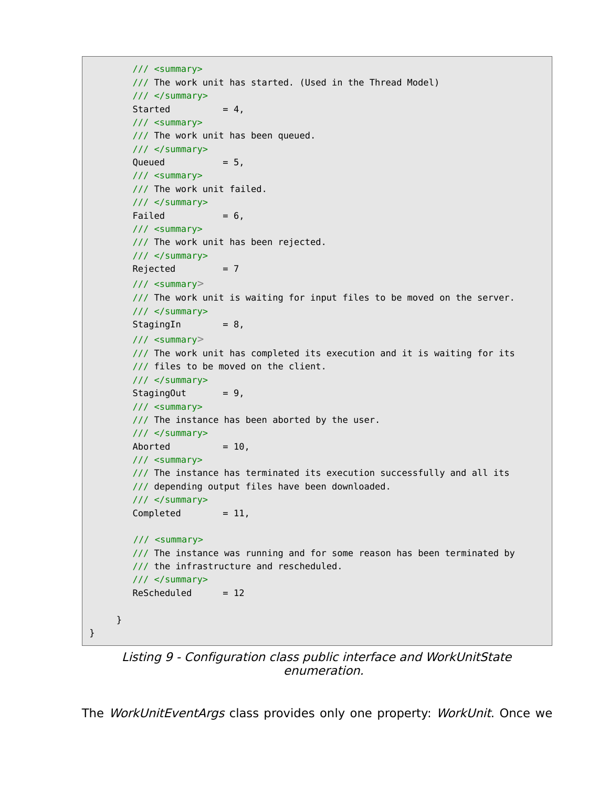```
 /// <summary>
    /// The work unit has started. (Used in the Thread Model)
   11/ \leq/summary>
   Started = 4,
    /// <summary>
    /// The work unit has been queued.
   11/ \leq/summary>
   Queued = 5,
    /// <summary>
    /// The work unit failed.
    /// </summary>
   Failed = 6, /// <summary>
    /// The work unit has been rejected.
    /// </summary>
   Rejected = 7 /// <summary>
    /// The work unit is waiting for input files to be moved on the server.
    /// </summary>
   StagingIn = 8, /// <summary>
    /// The work unit has completed its execution and it is waiting for its
    /// files to be moved on the client.
    /// </summary>
   StagingOut = 9, /// <summary>
   /// The instance has been aborted by the user.
    /// </summary>
   \text{Aborted} = 10,
    /// <summary>
    /// The instance has terminated its execution successfully and all its
    /// depending output files have been downloaded.
   // / </summary>
   Completed = 11, /// <summary>
    /// The instance was running and for some reason has been terminated by
    /// the infrastructure and rescheduled.
    /// </summary>
   Rescheduled = 12 }
```
Listing 9 - Configuration class public interface and WorkUnitState enumeration.

}

The WorkUnitEventArgs class provides only one property: WorkUnit. Once we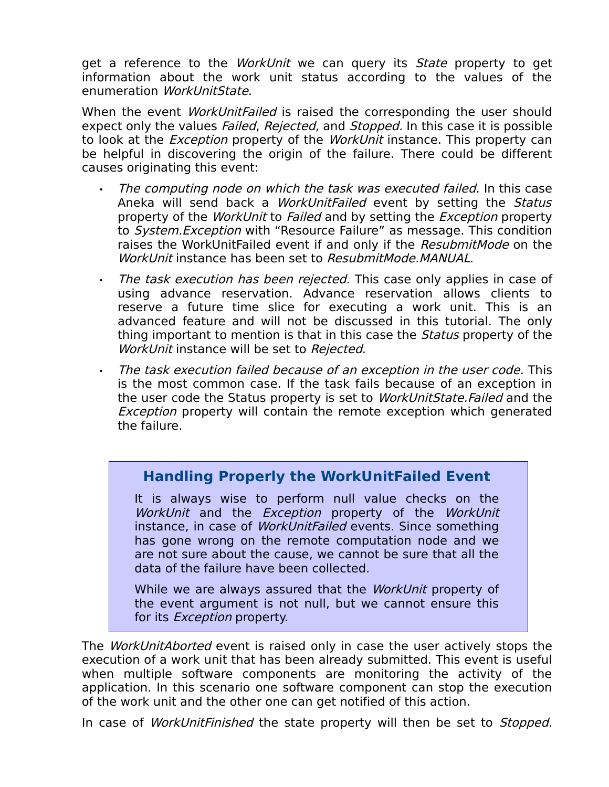get a reference to the WorkUnit we can query its State property to get information about the work unit status according to the values of the enumeration WorkUnitState.

When the event *WorkUnitFailed* is raised the corresponding the user should expect only the values *Failed, Rejected*, and *Stopped.* In this case it is possible to look at the *Exception* property of the *WorkUnit* instance. This property can be helpful in discovering the origin of the failure. There could be different causes originating this event:

- The computing node on which the task was executed failed. In this case Aneka will send back a *WorkUnitFailed* event by setting the Status property of the *WorkUnit* to *Failed* and by setting the *Exception* property to System.Exception with "Resource Failure" as message. This condition raises the WorkUnitFailed event if and only if the ResubmitMode on the WorkUnit instance has been set to ResubmitMode.MANUAL.
- The task execution has been rejected. This case only applies in case of using advance reservation. Advance reservation allows clients to reserve a future time slice for executing a work unit. This is an advanced feature and will not be discussed in this tutorial. The only thing important to mention is that in this case the *Status* property of the WorkUnit instance will be set to Rejected.
- The task execution failed because of an exception in the user code. This is the most common case. If the task fails because of an exception in the user code the Status property is set to *WorkUnitState.Failed* and the Exception property will contain the remote exception which generated the failure.

## **Handling Properly the WorkUnitFailed Event**

It is always wise to perform null value checks on the WorkUnit and the Exception property of the WorkUnit instance, in case of WorkUnitFailed events. Since something has gone wrong on the remote computation node and we are not sure about the cause, we cannot be sure that all the data of the failure have been collected.

While we are always assured that the *WorkUnit* property of the event argument is not null, but we cannot ensure this for its *Exception* property.

The *WorkUnitAborted* event is raised only in case the user actively stops the execution of a work unit that has been already submitted. This event is useful when multiple software components are monitoring the activity of the application. In this scenario one software component can stop the execution of the work unit and the other one can get notified of this action.

In case of WorkUnitFinished the state property will then be set to Stopped.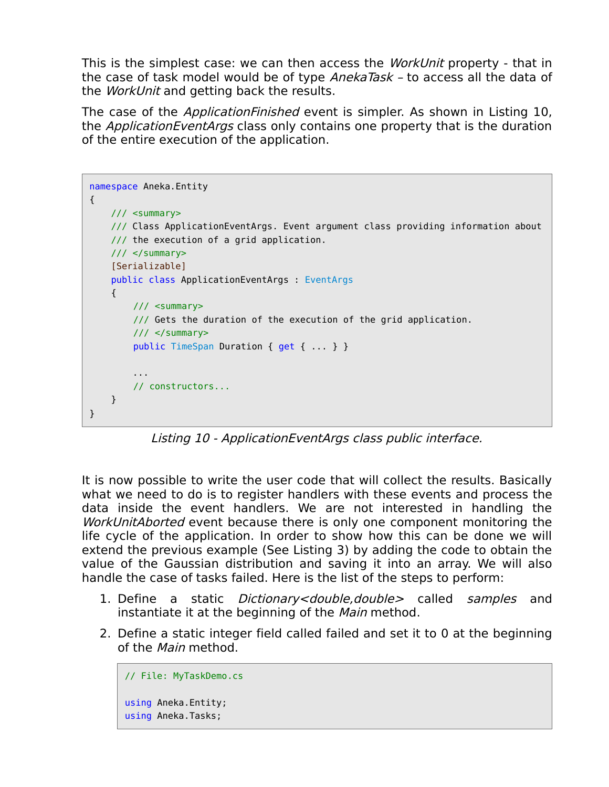This is the simplest case: we can then access the *WorkUnit* property - that in the case of task model would be of type *AnekaTask -* to access all the data of the *WorkUnit* and getting back the results.

The case of the *ApplicationFinished* event is simpler. As shown in Listing 10, the *ApplicationEventArgs* class only contains one property that is the duration of the entire execution of the application.

```
namespace Aneka.Entity 
{
    /// <summary>
     /// Class ApplicationEventArgs. Event argument class providing information about
     /// the execution of a grid application.
     /// </summary>
     [Serializable]
     public class ApplicationEventArgs : EventArgs
     {
         /// <summary>
         /// Gets the duration of the execution of the grid application.
         /// </summary>
        public TimeSpan Duration { get { ... } }
         ...
         // constructors...
     }
}
```
Listing 10 - ApplicationEventArgs class public interface.

It is now possible to write the user code that will collect the results. Basically what we need to do is to register handlers with these events and process the data inside the event handlers. We are not interested in handling the WorkUnitAborted event because there is only one component monitoring the life cycle of the application. In order to show how this can be done we will extend the previous example (See Listing 3) by adding the code to obtain the value of the Gaussian distribution and saving it into an array. We will also handle the case of tasks failed. Here is the list of the steps to perform:

- 1. Define a static *Dictionary<double,double>* called *samples* and instantiate it at the beginning of the *Main* method.
- 2. Define a static integer field called failed and set it to 0 at the beginning of the *Main* method.

```
// File: MyTaskDemo.cs
using Aneka.Entity;
using Aneka.Tasks;
```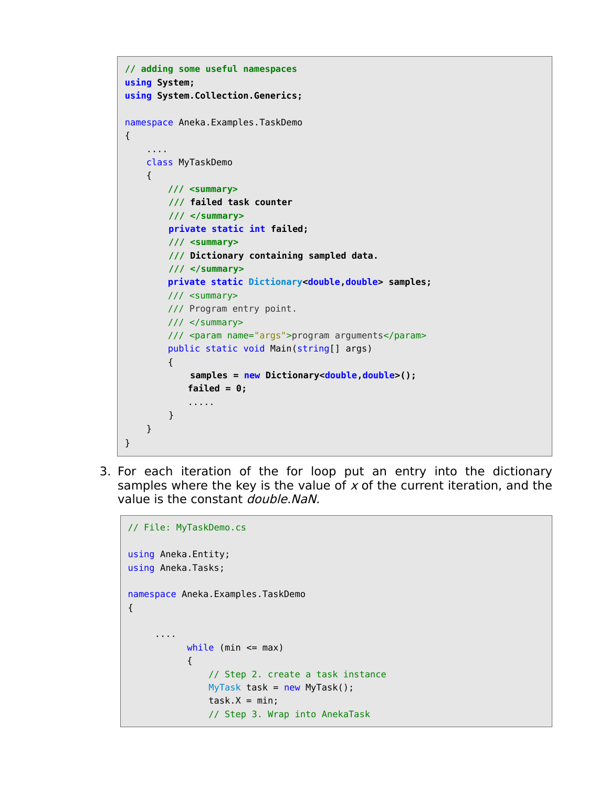```
// adding some useful namespaces
using System;
using System.Collection.Generics;
namespace Aneka.Examples.TaskDemo 
{
     .... 
     class MyTaskDemo
     {
         /// <summary>
         /// failed task counter
         /// </summary>
         private static int failed;
         /// <summary>
         /// Dictionary containing sampled data.
         /// </summary>
         private static Dictionary<double,double> samples;
         /// <summary>
         /// Program entry point.
         /// </summary>
         /// <param name="args">program arguments</param>
         public static void Main(string[] args) 
         {
              samples = new Dictionary<double,double>();
            failed = 0;
             .....
         }
     }
}
```
3. For each iteration of the for loop put an entry into the dictionary samples where the key is the value of  $x$  of the current iteration, and the value is the constant *double.NaN.* 

```
// File: MyTaskDemo.cs
using Aneka.Entity;
using Aneka.Tasks;
namespace Aneka.Examples.TaskDemo 
{
      ....
           while (min \leq max)
            {
                // Step 2. create a task instance
                MyTask task = new MyTask();
               task.X = min; // Step 3. Wrap into AnekaTask
```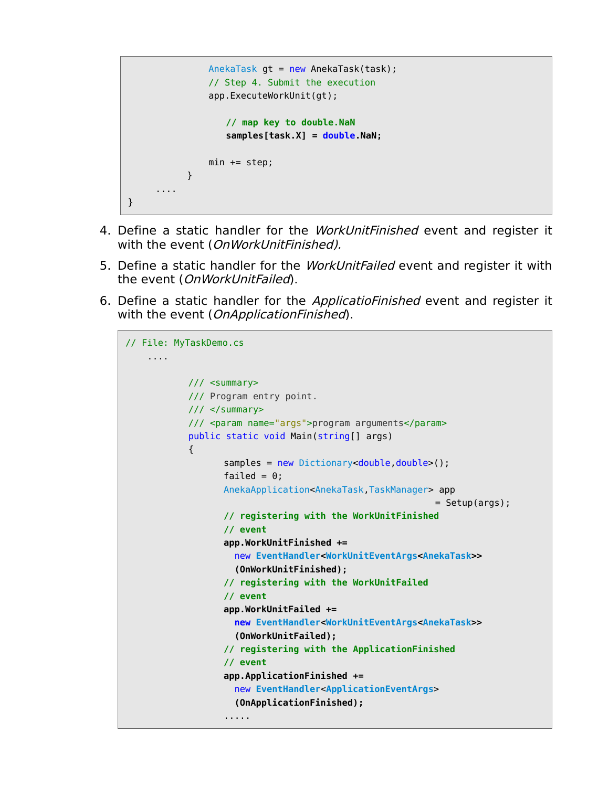```
AnekaTask gt = new AnekaTask(task);
                // Step 4. Submit the execution
                app.ExecuteWorkUnit(gt);
                   // map key to double.NaN
                   samples[task.X] = double.NaN;
               min += step;
            }
     ....
}
```
- 4. Define a static handler for the *WorkUnitFinished* event and register it with the event (OnWorkUnitFinished).
- 5. Define a static handler for the *WorkUnitFailed* event and register it with the event (OnWorkUnitFailed).
- 6. Define a static handler for the ApplicatioFinished event and register it with the event (*OnApplicationFinished*).

```
// File: MyTaskDemo.cs
     ....
            /// <summary>
            /// Program entry point.
            /// </summary>
            /// <param name="args">program arguments</param>
            public static void Main(string[] args) 
\{samples = new Dictionary<double,double>();
                  failed = 0;
                  AnekaApplication<AnekaTask,TaskManager> app
                                                          = Setup(args);
                  // registering with the WorkUnitFinished
                  // event
                  app.WorkUnitFinished +=
                     new EventHandler<WorkUnitEventArgs<AnekaTask>>
                     (OnWorkUnitFinished);
                  // registering with the WorkUnitFailed
                  // event
                  app.WorkUnitFailed +=
                     new EventHandler<WorkUnitEventArgs<AnekaTask>>
                     (OnWorkUnitFailed);
                  // registering with the ApplicationFinished
                  // event
                  app.ApplicationFinished +=
                     new EventHandler<ApplicationEventArgs>
                     (OnApplicationFinished);
                  .....
```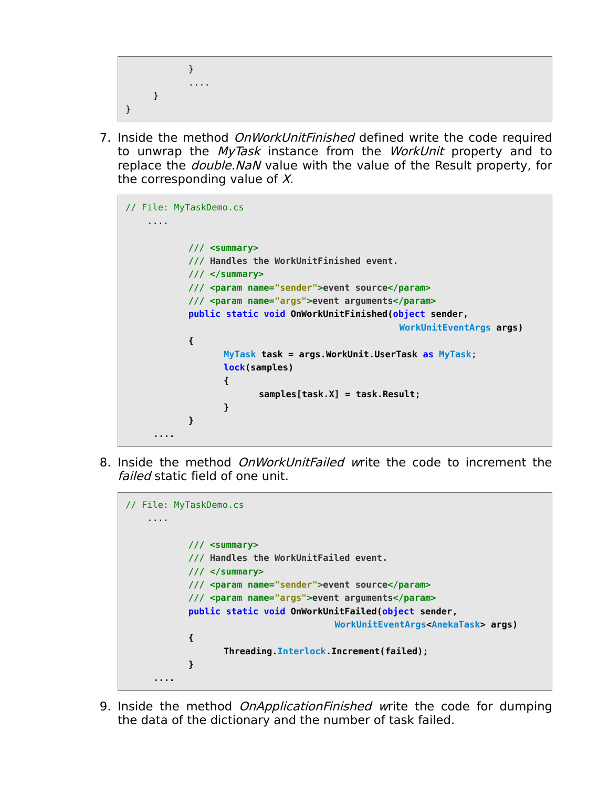```
}
              ....
      }
}
```
7. Inside the method *OnWorkUnitFinished* defined write the code required to unwrap the MyTask instance from the WorkUnit property and to replace the *double.NaN* value with the value of the Result property, for the corresponding value of  $X$ .

```
// File: MyTaskDemo.cs
     ....
            /// <summary>
            /// Handles the WorkUnitFinished event.
            /// </summary>
            /// <param name="sender">event source</param> 
            /// <param name="args">event arguments</param>
             public static void OnWorkUnitFinished(object sender,
                                                     WorkUnitEventArgs args) 
 {
                  MyTask task = args.WorkUnit.UserTask as MyTask;
                  lock(samples) 
                  {
                         samples[task.X] = task.Result;
                  }
           }
     ....
```
8. Inside the method *OnWorkUnitFailed w*rite the code to increment the failed static field of one unit.

```
// File: MyTaskDemo.cs
     ....
            /// <summary>
            /// Handles the WorkUnitFailed event.
            /// </summary>
            /// <param name="sender">event source</param> 
           /// <param name="args">event arguments</param>
            public static void OnWorkUnitFailed(object sender,
                                       WorkUnitEventArgs<AnekaTask> args) 
 {
                  Threading.Interlock.Increment(failed);
           }
     ....
```
9. Inside the method *OnApplicationFinished* write the code for dumping the data of the dictionary and the number of task failed.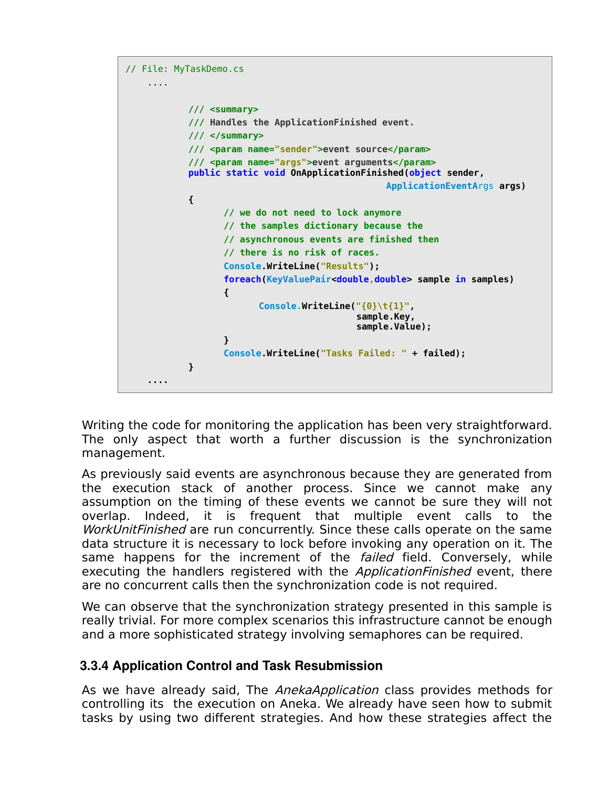```
// File: MyTaskDemo.cs
     ....
            /// <summary>
            /// Handles the ApplicationFinished event.
            /// </summary>
            /// <param name="sender">event source</param>
            /// <param name="args">event arguments</param> 
           public static void OnApplicationFinished(object sender, 
                                                  ApplicationEventArgs args) 
 {
                  // we do not need to lock anymore
                  // the samples dictionary because the
                  // asynchronous events are finished then
                  // there is no risk of races.
                  Console.WriteLine("Results");
                  foreach(KeyValuePair<double,double> sample in samples)
                  {
                         Console.WriteLine("{0}\t{1}",
                                            sample.Key, 
                                             sample.Value);
                  }
                  Console.WriteLine("Tasks Failed: " + failed);
           }
     ....
```
Writing the code for monitoring the application has been very straightforward. The only aspect that worth a further discussion is the synchronization management.

As previously said events are asynchronous because they are generated from the execution stack of another process. Since we cannot make any assumption on the timing of these events we cannot be sure they will not overlap. Indeed, it is frequent that multiple event calls to the WorkUnitFinished are run concurrently. Since these calls operate on the same data structure it is necessary to lock before invoking any operation on it. The same happens for the increment of the *failed* field. Conversely, while executing the handlers registered with the *ApplicationFinished* event, there are no concurrent calls then the synchronization code is not required.

We can observe that the synchronization strategy presented in this sample is really trivial. For more complex scenarios this infrastructure cannot be enough and a more sophisticated strategy involving semaphores can be required.

#### **3.3.4 Application Control and Task Resubmission**

As we have already said, The *AnekaApplication* class provides methods for controlling its the execution on Aneka. We already have seen how to submit tasks by using two different strategies. And how these strategies affect the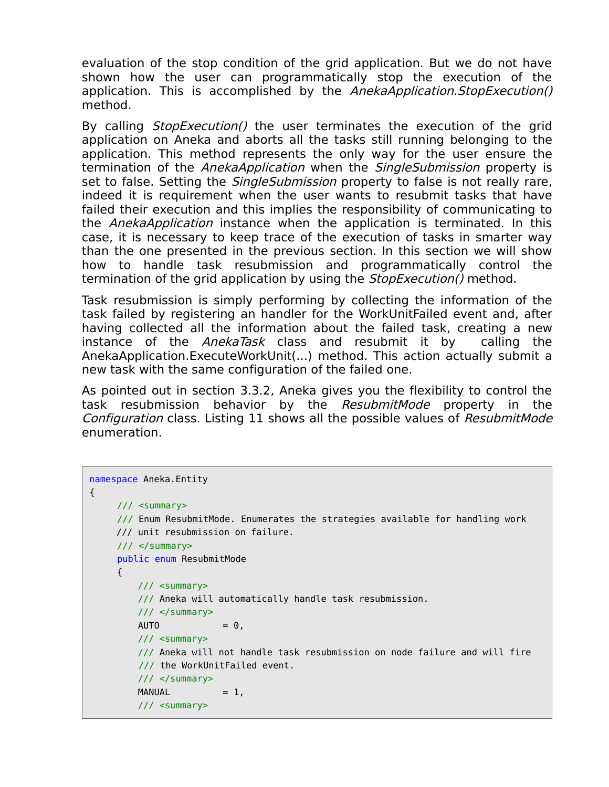evaluation of the stop condition of the grid application. But we do not have shown how the user can programmatically stop the execution of the application. This is accomplished by the AnekaApplication. StopExecution() method.

By calling *StopExecution*() the user terminates the execution of the grid application on Aneka and aborts all the tasks still running belonging to the application. This method represents the only way for the user ensure the termination of the *AnekaApplication* when the *SingleSubmission* property is set to false. Setting the *SingleSubmission* property to false is not really rare, indeed it is requirement when the user wants to resubmit tasks that have failed their execution and this implies the responsibility of communicating to the *AnekaApplication* instance when the application is terminated. In this case, it is necessary to keep trace of the execution of tasks in smarter way than the one presented in the previous section. In this section we will show how to handle task resubmission and programmatically control the termination of the grid application by using the *StopExecution()* method.

Task resubmission is simply performing by collecting the information of the task failed by registering an handler for the WorkUnitFailed event and, after having collected all the information about the failed task, creating a new instance of the *AnekaTask* class and resubmit it by calling the AnekaApplication.ExecuteWorkUnit(...) method. This action actually submit a new task with the same configuration of the failed one.

As pointed out in section 3.3.2, Aneka gives you the flexibility to control the task resubmission behavior by the ResubmitMode property in the Configuration class. Listing 11 shows all the possible values of ResubmitMode enumeration.

```
namespace Aneka.Entity 
{
    // <summary>
    /// Enum ResubmitMode. Enumerates the strategies available for handling work
     /// unit resubmission on failure.
    /// </summary>
    public enum ResubmitMode
    {
         /// <summary>
         /// Aneka will automatically handle task resubmission.
         /// </summary>
        AUTO = 0, /// <summary>
         /// Aneka will not handle task resubmission on node failure and will fire
         /// the WorkUnitFailed event.
        11/ \leq/summary>
        MANUAL = 1,
         /// <summary>
```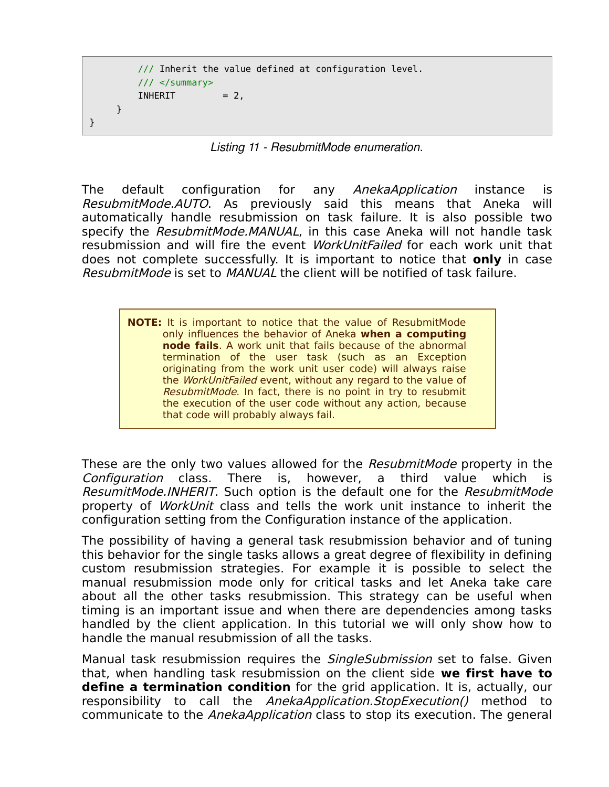```
 /// Inherit the value defined at configuration level.
     /// </summary>
   INHERIT = 2, }
```
}

*Listing 11 ResubmitMode enumeration.*

The default configuration for any AnekaApplication instance is ResubmitMode.AUTO. As previously said this means that Aneka will automatically handle resubmission on task failure. It is also possible two specify the ResubmitMode.MANUAL, in this case Aneka will not handle task resubmission and will fire the event *WorkUnitFailed* for each work unit that does not complete successfully. It is important to notice that **only** in case ResubmitMode is set to MANUAL the client will be notified of task failure.

**NOTE:** It is important to notice that the value of ResubmitMode only influences the behavior of Aneka **when a computing node fails**. A work unit that fails because of the abnormal termination of the user task (such as an Exception originating from the work unit user code) will always raise the WorkUnitFailed event, without any regard to the value of ResubmitMode. In fact, there is no point in try to resubmit the execution of the user code without any action, because that code will probably always fail.

These are the only two values allowed for the ResubmitMode property in the Configuration class. There is, however, a third value which is ResumitMode.INHERIT. Such option is the default one for the ResubmitMode property of WorkUnit class and tells the work unit instance to inherit the configuration setting from the Configuration instance of the application.

The possibility of having a general task resubmission behavior and of tuning this behavior for the single tasks allows a great degree of flexibility in defining custom resubmission strategies. For example it is possible to select the manual resubmission mode only for critical tasks and let Aneka take care about all the other tasks resubmission. This strategy can be useful when timing is an important issue and when there are dependencies among tasks handled by the client application. In this tutorial we will only show how to handle the manual resubmission of all the tasks.

Manual task resubmission requires the SingleSubmission set to false. Given that, when handling task resubmission on the client side **we first have to define a termination condition** for the grid application. It is, actually, our responsibility to call the *AnekaApplication.StopExecution()* method to communicate to the AnekaApplication class to stop its execution. The general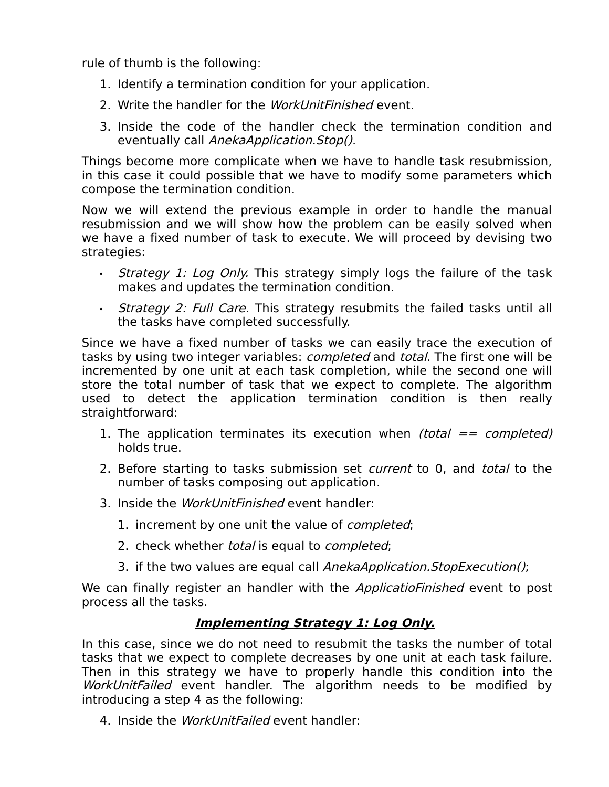rule of thumb is the following:

- 1. Identify a termination condition for your application.
- 2. Write the handler for the *WorkUnitFinished* event.
- 3. Inside the code of the handler check the termination condition and eventually call AnekaApplication.Stop().

Things become more complicate when we have to handle task resubmission, in this case it could possible that we have to modify some parameters which compose the termination condition.

Now we will extend the previous example in order to handle the manual resubmission and we will show how the problem can be easily solved when we have a fixed number of task to execute. We will proceed by devising two strategies:

- Strategy 1: Log Only. This strategy simply logs the failure of the task makes and updates the termination condition.
- Strategy 2: Full Care. This strategy resubmits the failed tasks until all the tasks have completed successfully.

Since we have a fixed number of tasks we can easily trace the execution of tasks by using two integer variables: *completed* and *total*. The first one will be incremented by one unit at each task completion, while the second one will store the total number of task that we expect to complete. The algorithm used to detect the application termination condition is then really straightforward:

- 1. The application terminates its execution when (total  $==$  completed) holds true.
- 2. Before starting to tasks submission set *current* to 0, and *total* to the number of tasks composing out application.
- 3. Inside the *WorkUnitFinished* event handler:
	- 1. increment by one unit the value of *completed*;
	- 2. check whether *total* is equal to *completed*;
	- 3. if the two values are equal call AnekaApplication. StopExecution();

We can finally register an handler with the *ApplicatioFinished* event to post process all the tasks.

#### **Implementing Strategy 1: Log Only.**

In this case, since we do not need to resubmit the tasks the number of total tasks that we expect to complete decreases by one unit at each task failure. Then in this strategy we have to properly handle this condition into the WorkUnitFailed event handler. The algorithm needs to be modified by introducing a step 4 as the following:

4. Inside the *WorkUnitFailed* event handler: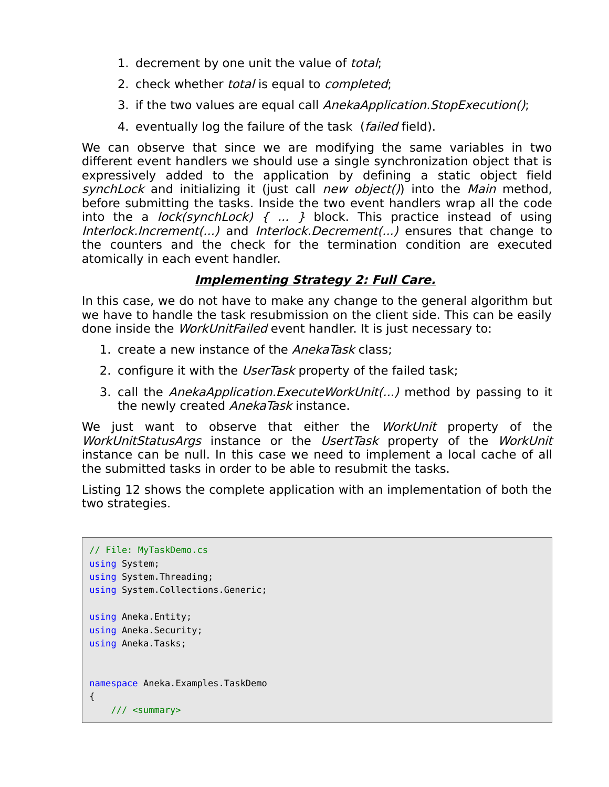- 1. decrement by one unit the value of total;
- 2. check whether total is equal to completed;
- 3. if the two values are equal call AnekaApplication. StopExecution();
- 4. eventually log the failure of the task (failed field).

We can observe that since we are modifying the same variables in two different event handlers we should use a single synchronization object that is expressively added to the application by defining a static object field synchLock and initializing it (just call new object()) into the Main method, before submitting the tasks. Inside the two event handlers wrap all the code into the a *lock(synchLock) { ...* } block. This practice instead of using Interlock.Increment(...) and Interlock.Decrement(...) ensures that change to the counters and the check for the termination condition are executed atomically in each event handler.

#### **Implementing Strategy 2: Full Care.**

In this case, we do not have to make any change to the general algorithm but we have to handle the task resubmission on the client side. This can be easily done inside the *WorkUnitFailed* event handler. It is just necessary to:

- 1. create a new instance of the AnekaTask class;
- 2. configure it with the UserTask property of the failed task;
- 3. call the AnekaApplication. Execute WorkUnit(...) method by passing to it the newly created AnekaTask instance.

We just want to observe that either the WorkUnit property of the WorkUnitStatusArgs instance or the UsertTask property of the WorkUnit instance can be null. In this case we need to implement a local cache of all the submitted tasks in order to be able to resubmit the tasks.

Listing 12 shows the complete application with an implementation of both the two strategies.

```
// File: MyTaskDemo.cs
using System;
using System.Threading;
using System.Collections.Generic;
using Aneka.Entity;
using Aneka.Security;
using Aneka.Tasks;
namespace Aneka.Examples.TaskDemo 
{
     /// <summary>
```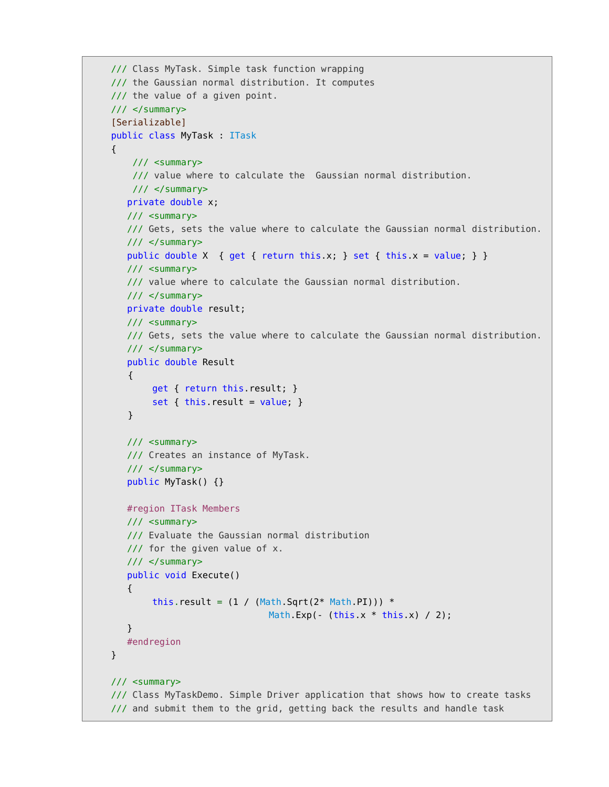```
 /// Class MyTask. Simple task function wrapping
 /// the Gaussian normal distribution. It computes
 /// the value of a given point.
 /// </summary>
 [Serializable]
 public class MyTask : ITask
 {
     /// <summary>
    /// value where to calculate the Gaussian normal distribution.
    11/ \leq/summary>
    private double x;
    /// <summary>
    /// Gets, sets the value where to calculate the Gaussian normal distribution.
    /// </summary>
   public double X { get { return this.x; } set { this.x = value; } }
    /// <summary>
    /// value where to calculate the Gaussian normal distribution.
    /// </summary>
    private double result;
    /// <summary>
    /// Gets, sets the value where to calculate the Gaussian normal distribution.
    /// </summary>
    public double Result
    { 
       get { return this.result; } 
       set { this.result = value; }
    }
    /// <summary>
    /// Creates an instance of MyTask.
    /// </summary>
    public MyTask() {}
    #region ITask Members
    /// <summary> 
    /// Evaluate the Gaussian normal distribution
    /// for the given value of x.
    /// </summary>
    public void Execute()
    { 
       this.result = (1 / (Math.Sqrt(2 * Math.PI))) *Math Exp(- (this.x * this.x) / 2);
    }
    #endregion
 }
 /// <summary>
 /// Class MyTaskDemo. Simple Driver application that shows how to create tasks
 /// and submit them to the grid, getting back the results and handle task
```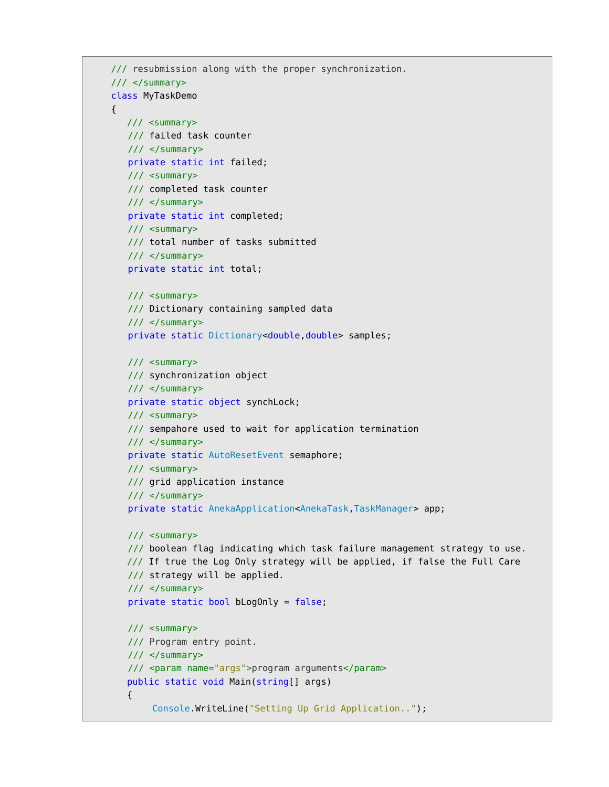```
 /// resubmission along with the proper synchronization.
 /// </summary>
 class MyTaskDemo
 {
    /// <summary>
    /// failed task counter
    /// </summary>
    private static int failed;
    /// <summary>
    /// completed task counter
    /// </summary>
    private static int completed;
    /// <summary>
    /// total number of tasks submitted
    /// </summary>
    private static int total;
    /// <summary>
    /// Dictionary containing sampled data
    /// </summary>
    private static Dictionary<double,double> samples;
    /// <summary>
    /// synchronization object
    /// </summary>
    private static object synchLock;
    /// <summary>
    /// sempahore used to wait for application termination
    /// </summary>
    private static AutoResetEvent semaphore;
    /// <summary>
    /// grid application instance
    /// </summary>
    private static AnekaApplication<AnekaTask,TaskManager> app;
    /// <summary>
    /// boolean flag indicating which task failure management strategy to use. 
    /// If true the Log Only strategy will be applied, if false the Full Care
    /// strategy will be applied.
    /// </summary>
    private static bool bLogOnly = false;
    /// <summary>
    /// Program entry point.
    /// </summary>
    /// <param name="args">program arguments</param>
    public static void Main(string[] args) 
    {
        Console.WriteLine("Setting Up Grid Application..");
```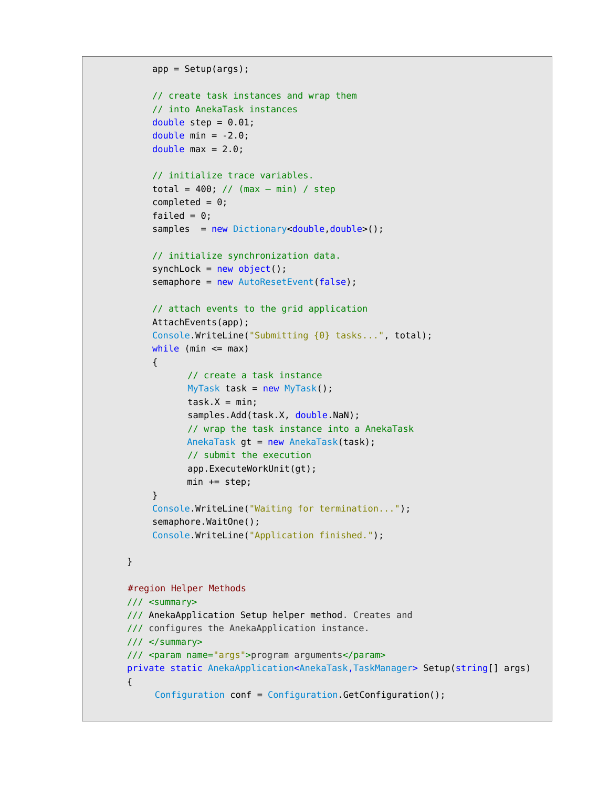```
app = Setup(args);
            // create task instances and wrap them
            // into AnekaTask instances
           double step = 0.01;
           double min = -2.0;
           double max = 2.0;
           // initialize trace variables.
           total = 400; // (max - min) / step
           completed = 0;failed = 0;
           samples = new Dictionary<double, double>();
           // initialize synchronization data.
           synchLock = new object();
           semaphore = new AutoResetEvent(false);
           // attach events to the grid application
           AttachEvents(app);
           Console.WriteLine("Submitting {0} tasks...", total);
           while (min \leq max)
\{ // create a task instance
                 MyTask task = new MyTask();
                 task.X = min;samples.Add(task.X, double.NaN);
                  // wrap the task instance into a AnekaTask
                 AnekaTask gt = new AnekaTask(task);
                   // submit the execution
                   app.ExecuteWorkUnit(gt);
                  min += step; }
           Console.WriteLine("Waiting for termination...");
           semaphore.WaitOne();
           Console.WriteLine("Application finished.");
       }
       #region Helper Methods
       /// <summary>
       /// AnekaApplication Setup helper method. Creates and
       /// configures the AnekaApplication instance.
       /// </summary>
       /// <param name="args">program arguments</param>
       private static AnekaApplication<AnekaTask,TaskManager> Setup(string[] args) 
       {
             Configuration conf = Configuration.GetConfiguration();
```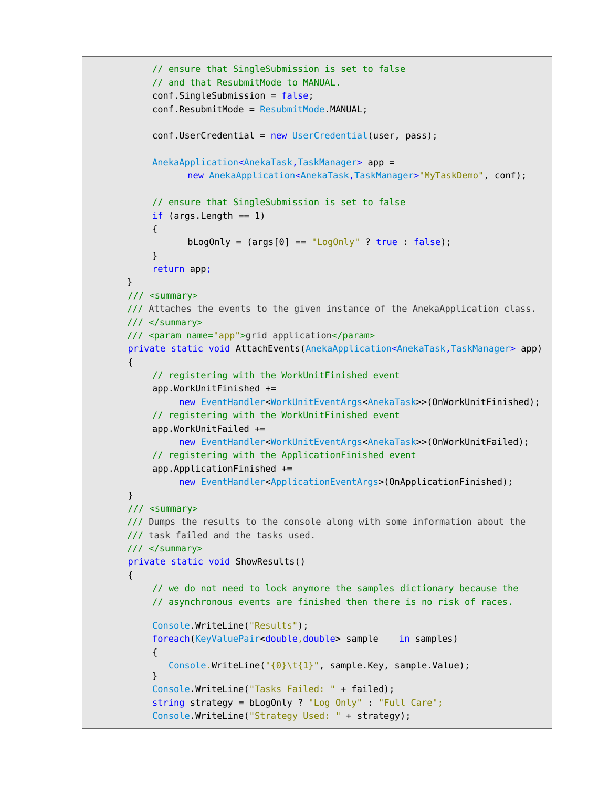```
// ensure that SingleSubmission is set to false
     // and that ResubmitMode to MANUAL.
     conf.SingleSubmission = false;
     conf.ResubmitMode = ResubmitMode.MANUAL;
     conf.JserCredential = new UserCredential(user, pass);AnekaApplication<AnekaTask,TaskManager> app =
           new AnekaApplication<AnekaTask,TaskManager>"MyTaskDemo", conf);
     // ensure that SingleSubmission is set to false
     if (\text{args.Length} == 1){
           bLogOnly = \text{(args[0]} == \text{``LogOnly''} ? true : false);
     }
     return app;
 }
 /// <summary>
 /// Attaches the events to the given instance of the AnekaApplication class.
 /// </summary>
 /// <param name="app">grid application</param>
 private static void AttachEvents(AnekaApplication<AnekaTask,TaskManager> app)
 {
     // registering with the WorkUnitFinished event
     app.WorkUnitFinished += 
           new EventHandler<WorkUnitEventArgs<AnekaTask>>(OnWorkUnitFinished);
     // registering with the WorkUnitFinished event
     app.WorkUnitFailed +=
           new EventHandler<WorkUnitEventArgs<AnekaTask>>(OnWorkUnitFailed);
     // registering with the ApplicationFinished event
     app.ApplicationFinished +=
           new EventHandler<ApplicationEventArgs>(OnApplicationFinished);
 }
 /// <summary>
 /// Dumps the results to the console along with some information about the
 /// task failed and the tasks used.
 /// </summary>
 private static void ShowResults() 
 {
     // we do not need to lock anymore the samples dictionary because the
     // asynchronous events are finished then there is no risk of races.
     Console.WriteLine("Results");
     foreach(KeyValuePair<double,double> sample in samples)
     {
        Console.WriteLine("{0}\t{1}", sample.Key, sample.Value);
     }
     Console.WriteLine("Tasks Failed: " + failed);
     string strategy = bLogOnly ? "Log Only" : "Full Care";
     Console.WriteLine("Strategy Used: " + strategy);
```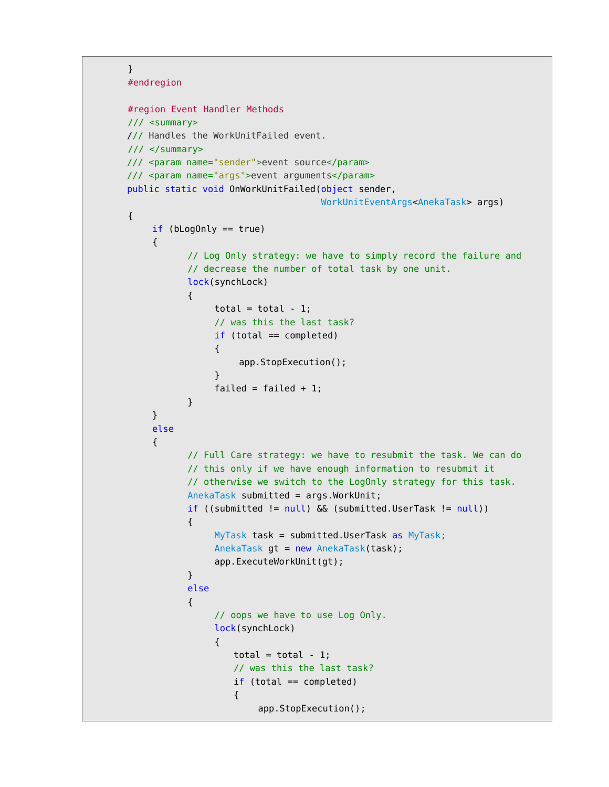```
 }
 #endregion
 #region Event Handler Methods
 /// <summary>
 /// Handles the WorkUnitFailed event.
 /// </summary>
 /// <param name="sender">event source</param>
 /// <param name="args">event arguments</param>
 public static void OnWorkUnitFailed(object sender,
                                      WorkUnitEventArgs<AnekaTask> args)
 {
    if (blogOnly == true){
           // Log Only strategy: we have to simply record the failure and
           // decrease the number of total task by one unit.
           lock(synchLock) 
           {
                 total = total - 1;
                 // was this the last task?
                 if (total == completed) 
                  {
                      app.StopExecution();
                  }
                 failed = failed + 1;}
    }
    else
    {
           // Full Care strategy: we have to resubmit the task. We can do
           // this only if we have enough information to resubmit it
           // otherwise we switch to the LogOnly strategy for this task.
           AnekaTask submitted = args.WorkUnit;
           if ((submitted != null) && (submitted.UserTask != null)) 
           {
                 MyTask task = submitted.UserTask as MyTask;
                 AnekaTask gt = new AnekaTask(task);
                 app.ExecuteWorkUnit(gt);
           }
           else
           {
                 // oops we have to use Log Only.
                 lock(synchLock) 
                  {
                    total = total -1;
                     // was this the last task?
                    if (total == completed) {
```

```
app.StopExecution();
```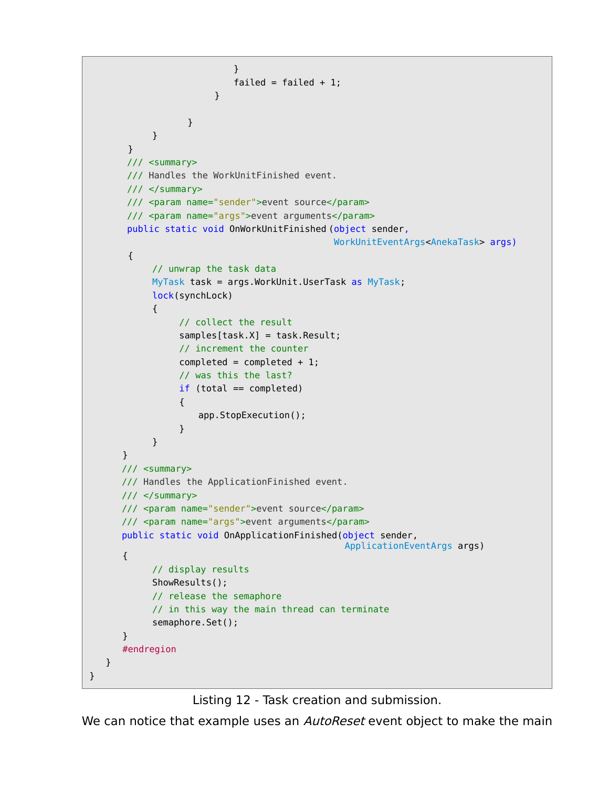```
 }
                         failed = failed + 1;
                      }
                }
         }
     }
     /// <summary>
     /// Handles the WorkUnitFinished event.
     /// </summary>
     /// <param name="sender">event source</param>
     /// <param name="args">event arguments</param>
     public static void OnWorkUnitFinished (object sender,
                                            WorkUnitEventArgs<AnekaTask> args)
     {
         // unwrap the task data
         MyTask task = args.WorkUnit.UserTask as MyTask;
         lock(synchLock) 
         {
               // collect the result
               samples[task.X] = task.Result;
               // increment the counter
              completed = completed + 1; // was this the last?
               if (total == completed) 
               {
                   app.StopExecution();
               }
         }
    }
    /// <summary>
    /// Handles the ApplicationFinished event.
    /// </summary>
    /// <param name="sender">event source</param>
    /// <param name="args">event arguments</param>
    public static void OnApplicationFinished(object sender, 
                                                ApplicationEventArgs args) 
    {
         // display results
         ShowResults();
         // release the semaphore
         // in this way the main thread can terminate
         semaphore.Set();
    }
   #endregion
 }
```
Listing 12 - Task creation and submission.

}

We can notice that example uses an *AutoReset* event object to make the main